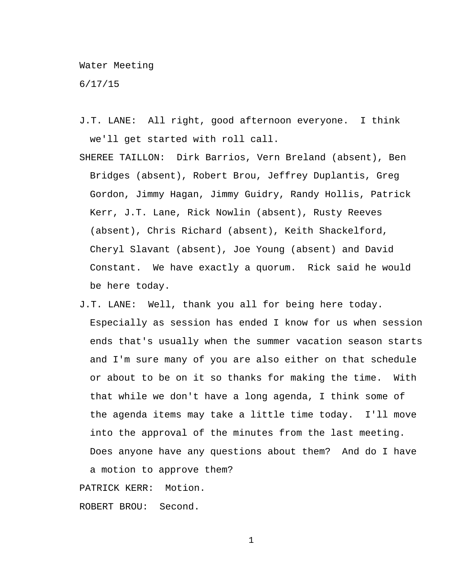Water Meeting

6/17/15

- J.T. LANE: All right, good afternoon everyone. I think we'll get started with roll call.
- SHEREE TAILLON: Dirk Barrios, Vern Breland (absent), Ben Bridges (absent), Robert Brou, Jeffrey Duplantis, Greg Gordon, Jimmy Hagan, Jimmy Guidry, Randy Hollis, Patrick Kerr, J.T. Lane, Rick Nowlin (absent), Rusty Reeves (absent), Chris Richard (absent), Keith Shackelford, Cheryl Slavant (absent), Joe Young (absent) and David Constant. We have exactly a quorum. Rick said he would be here today.
- J.T. LANE: Well, thank you all for being here today. Especially as session has ended I know for us when session ends that's usually when the summer vacation season starts and I'm sure many of you are also either on that schedule or about to be on it so thanks for making the time. With that while we don't have a long agenda, I think some of the agenda items may take a little time today. I'll move into the approval of the minutes from the last meeting. Does anyone have any questions about them? And do I have

a motion to approve them?

PATRICK KERR: Motion.

ROBERT BROU: Second.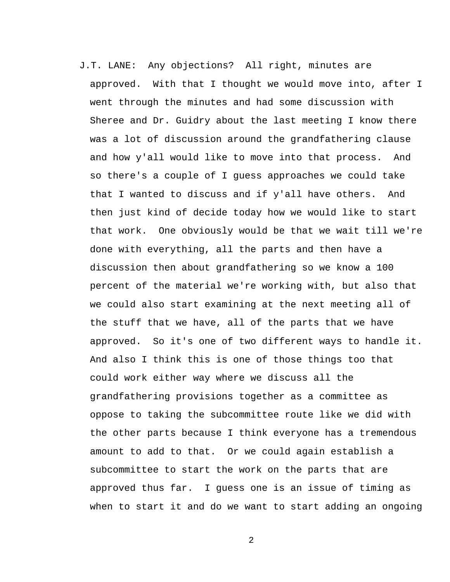J.T. LANE: Any objections? All right, minutes are approved. With that I thought we would move into, after I went through the minutes and had some discussion with Sheree and Dr. Guidry about the last meeting I know there was a lot of discussion around the grandfathering clause and how y'all would like to move into that process. And so there's a couple of I guess approaches we could take that I wanted to discuss and if y'all have others. And then just kind of decide today how we would like to start that work. One obviously would be that we wait till we're done with everything, all the parts and then have a discussion then about grandfathering so we know a 100 percent of the material we're working with, but also that we could also start examining at the next meeting all of the stuff that we have, all of the parts that we have approved. So it's one of two different ways to handle it. And also I think this is one of those things too that could work either way where we discuss all the grandfathering provisions together as a committee as oppose to taking the subcommittee route like we did with the other parts because I think everyone has a tremendous amount to add to that. Or we could again establish a subcommittee to start the work on the parts that are approved thus far. I guess one is an issue of timing as when to start it and do we want to start adding an ongoing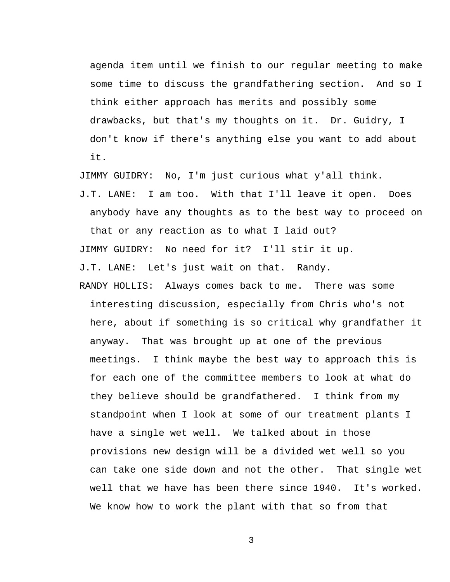agenda item until we finish to our regular meeting to make some time to discuss the grandfathering section. And so I think either approach has merits and possibly some drawbacks, but that's my thoughts on it. Dr. Guidry, I don't know if there's anything else you want to add about it.

JIMMY GUIDRY: No, I'm just curious what y'all think.

J.T. LANE: I am too. With that I'll leave it open. Does anybody have any thoughts as to the best way to proceed on that or any reaction as to what I laid out? JIMMY GUIDRY: No need for it? I'll stir it up. J.T. LANE: Let's just wait on that. Randy.

RANDY HOLLIS: Always comes back to me. There was some interesting discussion, especially from Chris who's not here, about if something is so critical why grandfather it anyway. That was brought up at one of the previous meetings. I think maybe the best way to approach this is for each one of the committee members to look at what do they believe should be grandfathered. I think from my standpoint when I look at some of our treatment plants I have a single wet well. We talked about in those provisions new design will be a divided wet well so you can take one side down and not the other. That single wet well that we have has been there since 1940. It's worked. We know how to work the plant with that so from that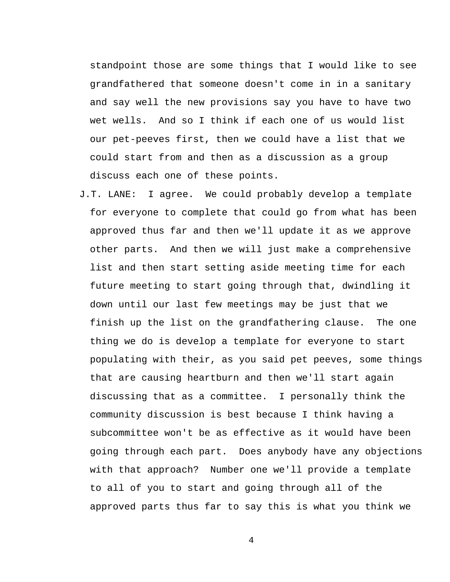standpoint those are some things that I would like to see grandfathered that someone doesn't come in in a sanitary and say well the new provisions say you have to have two wet wells. And so I think if each one of us would list our pet-peeves first, then we could have a list that we could start from and then as a discussion as a group discuss each one of these points.

J.T. LANE: I agree. We could probably develop a template for everyone to complete that could go from what has been approved thus far and then we'll update it as we approve other parts. And then we will just make a comprehensive list and then start setting aside meeting time for each future meeting to start going through that, dwindling it down until our last few meetings may be just that we finish up the list on the grandfathering clause. The one thing we do is develop a template for everyone to start populating with their, as you said pet peeves, some things that are causing heartburn and then we'll start again discussing that as a committee. I personally think the community discussion is best because I think having a subcommittee won't be as effective as it would have been going through each part. Does anybody have any objections with that approach? Number one we'll provide a template to all of you to start and going through all of the approved parts thus far to say this is what you think we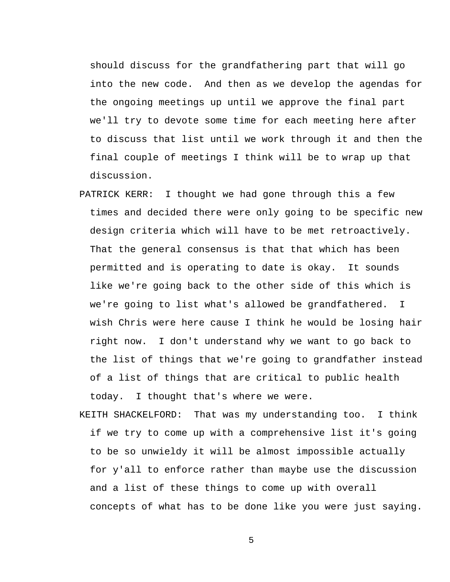should discuss for the grandfathering part that will go into the new code. And then as we develop the agendas for the ongoing meetings up until we approve the final part we'll try to devote some time for each meeting here after to discuss that list until we work through it and then the final couple of meetings I think will be to wrap up that discussion.

- PATRICK KERR: I thought we had gone through this a few times and decided there were only going to be specific new design criteria which will have to be met retroactively. That the general consensus is that that which has been permitted and is operating to date is okay. It sounds like we're going back to the other side of this which is we're going to list what's allowed be grandfathered. I wish Chris were here cause I think he would be losing hair right now. I don't understand why we want to go back to the list of things that we're going to grandfather instead of a list of things that are critical to public health today. I thought that's where we were.
- KEITH SHACKELFORD: That was my understanding too. I think if we try to come up with a comprehensive list it's going to be so unwieldy it will be almost impossible actually for y'all to enforce rather than maybe use the discussion and a list of these things to come up with overall concepts of what has to be done like you were just saying.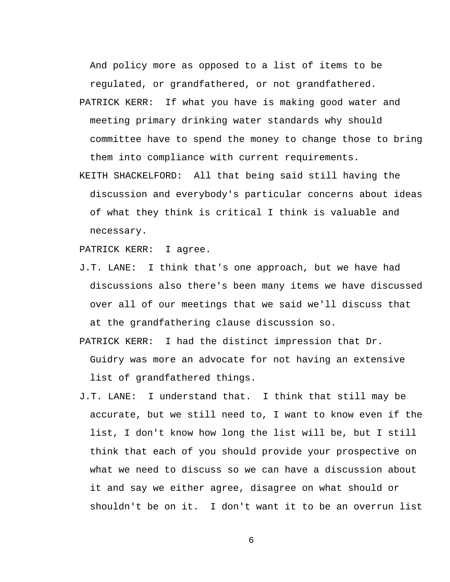And policy more as opposed to a list of items to be regulated, or grandfathered, or not grandfathered.

- PATRICK KERR: If what you have is making good water and meeting primary drinking water standards why should committee have to spend the money to change those to bring them into compliance with current requirements.
- KEITH SHACKELFORD: All that being said still having the discussion and everybody's particular concerns about ideas of what they think is critical I think is valuable and necessary.

PATRICK KERR: I agree.

J.T. LANE: I think that's one approach, but we have had discussions also there's been many items we have discussed over all of our meetings that we said we'll discuss that at the grandfathering clause discussion so.

PATRICK KERR: I had the distinct impression that Dr.

Guidry was more an advocate for not having an extensive list of grandfathered things.

J.T. LANE: I understand that. I think that still may be accurate, but we still need to, I want to know even if the list, I don't know how long the list will be, but I still think that each of you should provide your prospective on what we need to discuss so we can have a discussion about it and say we either agree, disagree on what should or shouldn't be on it. I don't want it to be an overrun list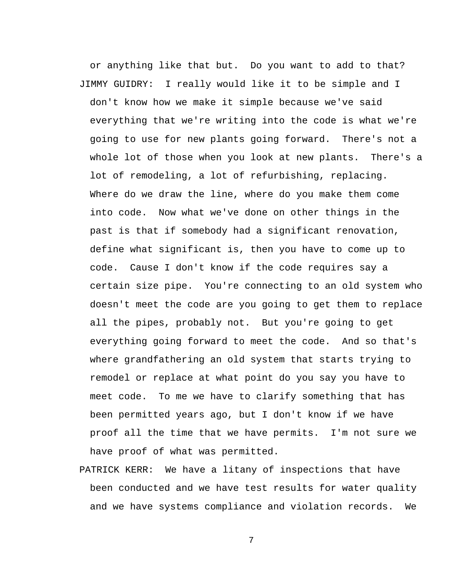or anything like that but. Do you want to add to that? JIMMY GUIDRY: I really would like it to be simple and I don't know how we make it simple because we've said everything that we're writing into the code is what we're going to use for new plants going forward. There's not a whole lot of those when you look at new plants. There's a lot of remodeling, a lot of refurbishing, replacing. Where do we draw the line, where do you make them come into code. Now what we've done on other things in the past is that if somebody had a significant renovation, define what significant is, then you have to come up to code. Cause I don't know if the code requires say a certain size pipe. You're connecting to an old system who doesn't meet the code are you going to get them to replace all the pipes, probably not. But you're going to get everything going forward to meet the code. And so that's where grandfathering an old system that starts trying to remodel or replace at what point do you say you have to meet code. To me we have to clarify something that has been permitted years ago, but I don't know if we have proof all the time that we have permits. I'm not sure we have proof of what was permitted.

PATRICK KERR: We have a litany of inspections that have been conducted and we have test results for water quality and we have systems compliance and violation records. We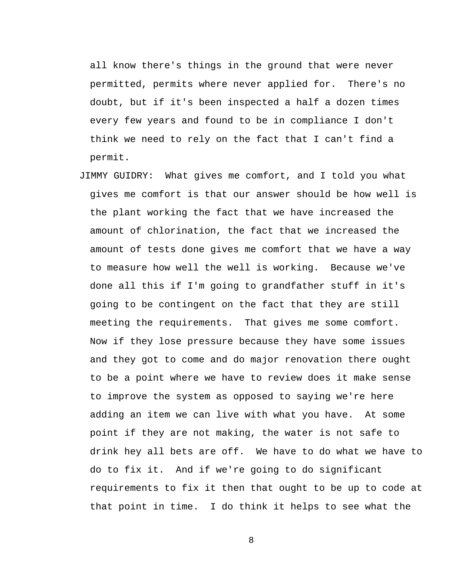all know there's things in the ground that were never permitted, permits where never applied for. There's no doubt, but if it's been inspected a half a dozen times every few years and found to be in compliance I don't think we need to rely on the fact that I can't find a permit.

JIMMY GUIDRY: What gives me comfort, and I told you what gives me comfort is that our answer should be how well is the plant working the fact that we have increased the amount of chlorination, the fact that we increased the amount of tests done gives me comfort that we have a way to measure how well the well is working. Because we've done all this if I'm going to grandfather stuff in it's going to be contingent on the fact that they are still meeting the requirements. That gives me some comfort. Now if they lose pressure because they have some issues and they got to come and do major renovation there ought to be a point where we have to review does it make sense to improve the system as opposed to saying we're here adding an item we can live with what you have. At some point if they are not making, the water is not safe to drink hey all bets are off. We have to do what we have to do to fix it. And if we're going to do significant requirements to fix it then that ought to be up to code at that point in time. I do think it helps to see what the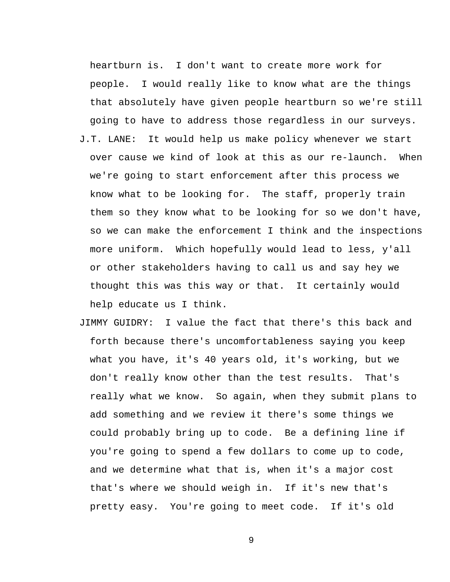heartburn is. I don't want to create more work for people. I would really like to know what are the things that absolutely have given people heartburn so we're still going to have to address those regardless in our surveys. J.T. LANE: It would help us make policy whenever we start over cause we kind of look at this as our re-launch. When we're going to start enforcement after this process we know what to be looking for. The staff, properly train them so they know what to be looking for so we don't have, so we can make the enforcement I think and the inspections more uniform. Which hopefully would lead to less, y'all or other stakeholders having to call us and say hey we thought this was this way or that. It certainly would help educate us I think.

JIMMY GUIDRY: I value the fact that there's this back and forth because there's uncomfortableness saying you keep what you have, it's 40 years old, it's working, but we don't really know other than the test results. That's really what we know. So again, when they submit plans to add something and we review it there's some things we could probably bring up to code. Be a defining line if you're going to spend a few dollars to come up to code, and we determine what that is, when it's a major cost that's where we should weigh in. If it's new that's pretty easy. You're going to meet code. If it's old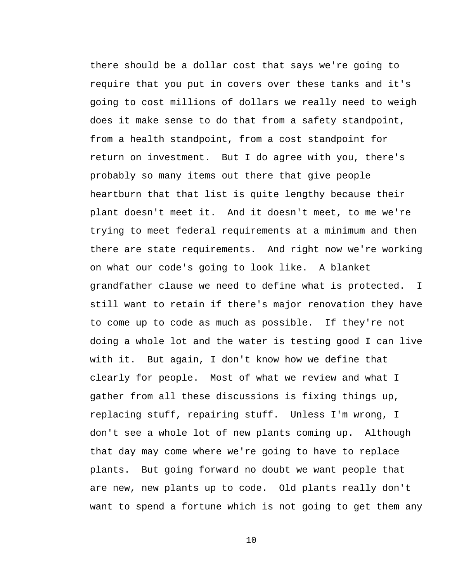there should be a dollar cost that says we're going to require that you put in covers over these tanks and it's going to cost millions of dollars we really need to weigh does it make sense to do that from a safety standpoint, from a health standpoint, from a cost standpoint for return on investment. But I do agree with you, there's probably so many items out there that give people heartburn that that list is quite lengthy because their plant doesn't meet it. And it doesn't meet, to me we're trying to meet federal requirements at a minimum and then there are state requirements. And right now we're working on what our code's going to look like. A blanket grandfather clause we need to define what is protected. I still want to retain if there's major renovation they have to come up to code as much as possible. If they're not doing a whole lot and the water is testing good I can live with it. But again, I don't know how we define that clearly for people. Most of what we review and what I gather from all these discussions is fixing things up, replacing stuff, repairing stuff. Unless I'm wrong, I don't see a whole lot of new plants coming up. Although that day may come where we're going to have to replace plants. But going forward no doubt we want people that are new, new plants up to code. Old plants really don't want to spend a fortune which is not going to get them any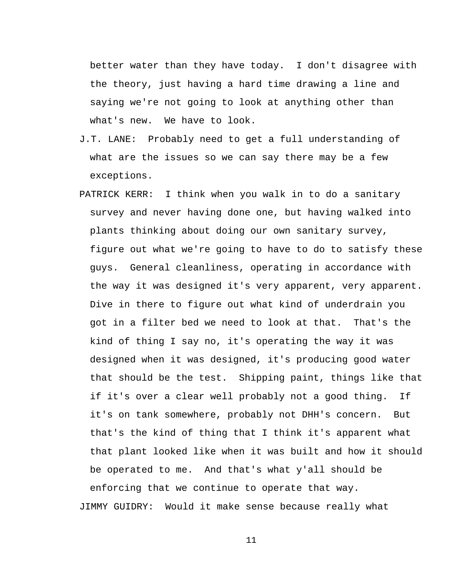better water than they have today. I don't disagree with the theory, just having a hard time drawing a line and saying we're not going to look at anything other than what's new. We have to look.

- J.T. LANE: Probably need to get a full understanding of what are the issues so we can say there may be a few exceptions.
- PATRICK KERR: I think when you walk in to do a sanitary survey and never having done one, but having walked into plants thinking about doing our own sanitary survey, figure out what we're going to have to do to satisfy these guys. General cleanliness, operating in accordance with the way it was designed it's very apparent, very apparent. Dive in there to figure out what kind of underdrain you got in a filter bed we need to look at that. That's the kind of thing I say no, it's operating the way it was designed when it was designed, it's producing good water that should be the test. Shipping paint, things like that if it's over a clear well probably not a good thing. If it's on tank somewhere, probably not DHH's concern. But that's the kind of thing that I think it's apparent what that plant looked like when it was built and how it should be operated to me. And that's what y'all should be enforcing that we continue to operate that way. JIMMY GUIDRY: Would it make sense because really what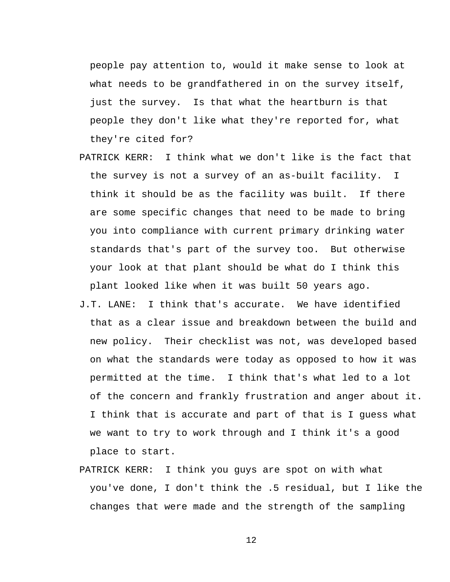people pay attention to, would it make sense to look at what needs to be grandfathered in on the survey itself, just the survey. Is that what the heartburn is that people they don't like what they're reported for, what they're cited for?

- PATRICK KERR: I think what we don't like is the fact that the survey is not a survey of an as-built facility. I think it should be as the facility was built. If there are some specific changes that need to be made to bring you into compliance with current primary drinking water standards that's part of the survey too. But otherwise your look at that plant should be what do I think this plant looked like when it was built 50 years ago.
- J.T. LANE: I think that's accurate. We have identified that as a clear issue and breakdown between the build and new policy. Their checklist was not, was developed based on what the standards were today as opposed to how it was permitted at the time. I think that's what led to a lot of the concern and frankly frustration and anger about it. I think that is accurate and part of that is I guess what we want to try to work through and I think it's a good place to start.
- PATRICK KERR: I think you guys are spot on with what you've done, I don't think the .5 residual, but I like the changes that were made and the strength of the sampling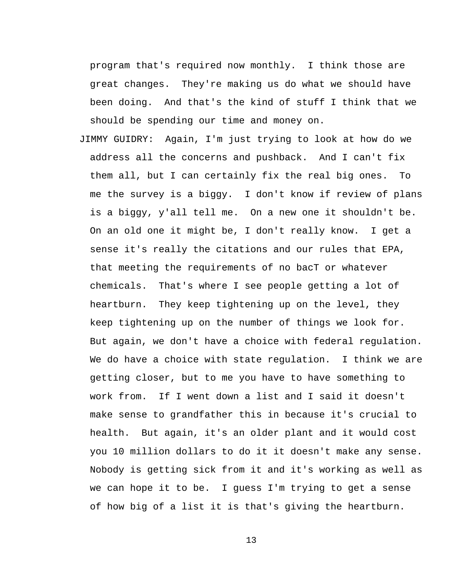program that's required now monthly. I think those are great changes. They're making us do what we should have been doing. And that's the kind of stuff I think that we should be spending our time and money on.

JIMMY GUIDRY: Again, I'm just trying to look at how do we address all the concerns and pushback. And I can't fix them all, but I can certainly fix the real big ones. To me the survey is a biggy. I don't know if review of plans is a biggy, y'all tell me. On a new one it shouldn't be. On an old one it might be, I don't really know. I get a sense it's really the citations and our rules that EPA, that meeting the requirements of no bacT or whatever chemicals. That's where I see people getting a lot of heartburn. They keep tightening up on the level, they keep tightening up on the number of things we look for. But again, we don't have a choice with federal regulation. We do have a choice with state regulation. I think we are getting closer, but to me you have to have something to work from. If I went down a list and I said it doesn't make sense to grandfather this in because it's crucial to health. But again, it's an older plant and it would cost you 10 million dollars to do it it doesn't make any sense. Nobody is getting sick from it and it's working as well as we can hope it to be. I guess I'm trying to get a sense of how big of a list it is that's giving the heartburn.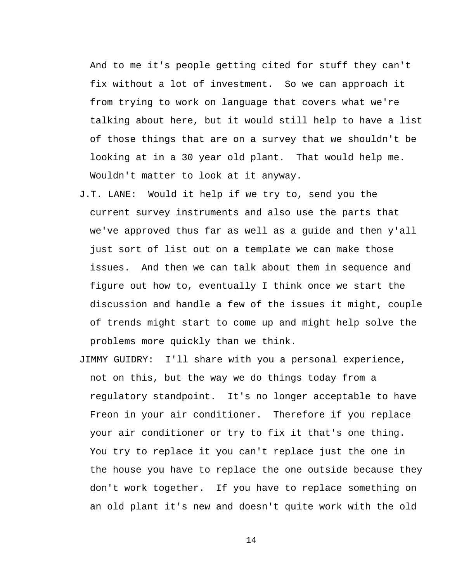And to me it's people getting cited for stuff they can't fix without a lot of investment. So we can approach it from trying to work on language that covers what we're talking about here, but it would still help to have a list of those things that are on a survey that we shouldn't be looking at in a 30 year old plant. That would help me. Wouldn't matter to look at it anyway.

- J.T. LANE: Would it help if we try to, send you the current survey instruments and also use the parts that we've approved thus far as well as a guide and then y'all just sort of list out on a template we can make those issues. And then we can talk about them in sequence and figure out how to, eventually I think once we start the discussion and handle a few of the issues it might, couple of trends might start to come up and might help solve the problems more quickly than we think.
- JIMMY GUIDRY: I'll share with you a personal experience, not on this, but the way we do things today from a regulatory standpoint. It's no longer acceptable to have Freon in your air conditioner. Therefore if you replace your air conditioner or try to fix it that's one thing. You try to replace it you can't replace just the one in the house you have to replace the one outside because they don't work together. If you have to replace something on an old plant it's new and doesn't quite work with the old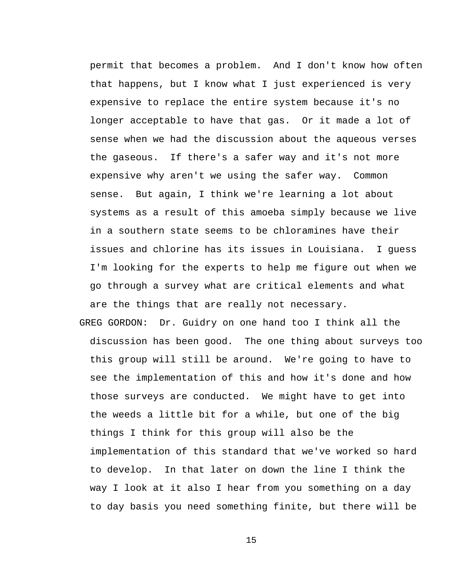permit that becomes a problem. And I don't know how often that happens, but I know what I just experienced is very expensive to replace the entire system because it's no longer acceptable to have that gas. Or it made a lot of sense when we had the discussion about the aqueous verses the gaseous. If there's a safer way and it's not more expensive why aren't we using the safer way. Common sense. But again, I think we're learning a lot about systems as a result of this amoeba simply because we live in a southern state seems to be chloramines have their issues and chlorine has its issues in Louisiana. I guess I'm looking for the experts to help me figure out when we go through a survey what are critical elements and what are the things that are really not necessary.

GREG GORDON: Dr. Guidry on one hand too I think all the discussion has been good. The one thing about surveys too this group will still be around. We're going to have to see the implementation of this and how it's done and how those surveys are conducted. We might have to get into the weeds a little bit for a while, but one of the big things I think for this group will also be the implementation of this standard that we've worked so hard to develop. In that later on down the line I think the way I look at it also I hear from you something on a day to day basis you need something finite, but there will be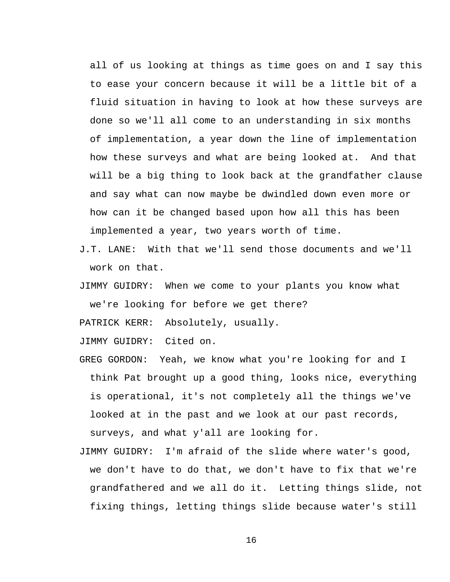all of us looking at things as time goes on and I say this to ease your concern because it will be a little bit of a fluid situation in having to look at how these surveys are done so we'll all come to an understanding in six months of implementation, a year down the line of implementation how these surveys and what are being looked at. And that will be a big thing to look back at the grandfather clause and say what can now maybe be dwindled down even more or how can it be changed based upon how all this has been implemented a year, two years worth of time.

- J.T. LANE: With that we'll send those documents and we'll work on that.
- JIMMY GUIDRY: When we come to your plants you know what we're looking for before we get there?

PATRICK KERR: Absolutely, usually.

JIMMY GUIDRY: Cited on.

- GREG GORDON: Yeah, we know what you're looking for and I think Pat brought up a good thing, looks nice, everything is operational, it's not completely all the things we've looked at in the past and we look at our past records, surveys, and what y'all are looking for.
- JIMMY GUIDRY: I'm afraid of the slide where water's good, we don't have to do that, we don't have to fix that we're grandfathered and we all do it. Letting things slide, not fixing things, letting things slide because water's still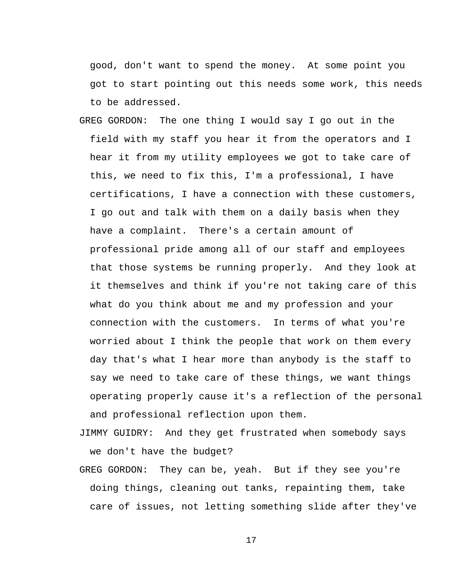good, don't want to spend the money. At some point you got to start pointing out this needs some work, this needs to be addressed.

- GREG GORDON: The one thing I would say I go out in the field with my staff you hear it from the operators and I hear it from my utility employees we got to take care of this, we need to fix this, I'm a professional, I have certifications, I have a connection with these customers, I go out and talk with them on a daily basis when they have a complaint. There's a certain amount of professional pride among all of our staff and employees that those systems be running properly. And they look at it themselves and think if you're not taking care of this what do you think about me and my profession and your connection with the customers. In terms of what you're worried about I think the people that work on them every day that's what I hear more than anybody is the staff to say we need to take care of these things, we want things operating properly cause it's a reflection of the personal and professional reflection upon them.
- JIMMY GUIDRY: And they get frustrated when somebody says we don't have the budget?
- GREG GORDON: They can be, yeah. But if they see you're doing things, cleaning out tanks, repainting them, take care of issues, not letting something slide after they've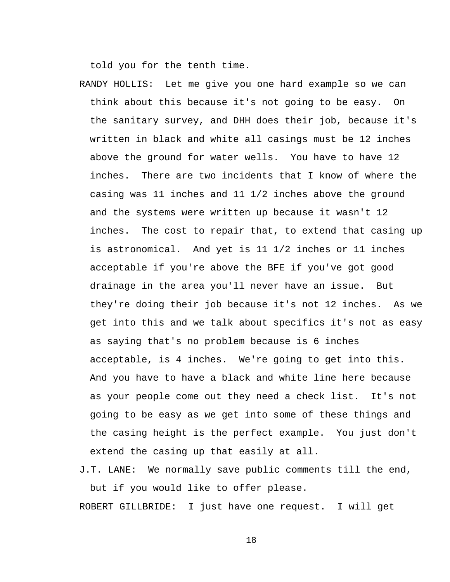told you for the tenth time.

- RANDY HOLLIS: Let me give you one hard example so we can think about this because it's not going to be easy. On the sanitary survey, and DHH does their job, because it's written in black and white all casings must be 12 inches above the ground for water wells. You have to have 12 inches. There are two incidents that I know of where the casing was 11 inches and 11 1/2 inches above the ground and the systems were written up because it wasn't 12 inches. The cost to repair that, to extend that casing up is astronomical. And yet is 11 1/2 inches or 11 inches acceptable if you're above the BFE if you've got good drainage in the area you'll never have an issue. But they're doing their job because it's not 12 inches. As we get into this and we talk about specifics it's not as easy as saying that's no problem because is 6 inches acceptable, is 4 inches. We're going to get into this. And you have to have a black and white line here because as your people come out they need a check list. It's not going to be easy as we get into some of these things and the casing height is the perfect example. You just don't extend the casing up that easily at all.
- J.T. LANE: We normally save public comments till the end, but if you would like to offer please.

ROBERT GILLBRIDE: I just have one request. I will get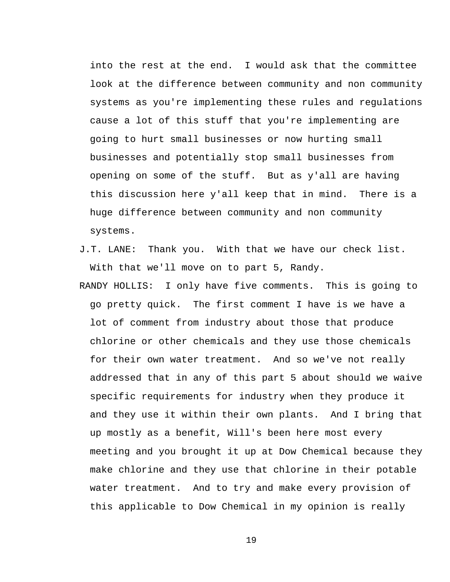into the rest at the end. I would ask that the committee look at the difference between community and non community systems as you're implementing these rules and regulations cause a lot of this stuff that you're implementing are going to hurt small businesses or now hurting small businesses and potentially stop small businesses from opening on some of the stuff. But as y'all are having this discussion here y'all keep that in mind. There is a huge difference between community and non community systems.

- J.T. LANE: Thank you. With that we have our check list. With that we'll move on to part 5, Randy.
- RANDY HOLLIS: I only have five comments. This is going to go pretty quick. The first comment I have is we have a lot of comment from industry about those that produce chlorine or other chemicals and they use those chemicals for their own water treatment. And so we've not really addressed that in any of this part 5 about should we waive specific requirements for industry when they produce it and they use it within their own plants. And I bring that up mostly as a benefit, Will's been here most every meeting and you brought it up at Dow Chemical because they make chlorine and they use that chlorine in their potable water treatment. And to try and make every provision of this applicable to Dow Chemical in my opinion is really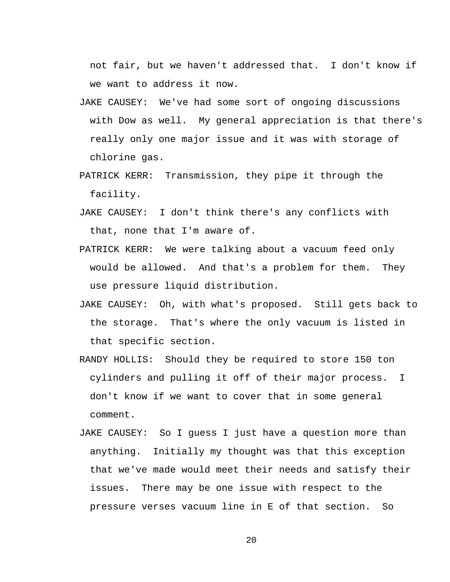not fair, but we haven't addressed that. I don't know if we want to address it now.

- JAKE CAUSEY: We've had some sort of ongoing discussions with Dow as well. My general appreciation is that there's really only one major issue and it was with storage of chlorine gas.
- PATRICK KERR: Transmission, they pipe it through the facility.
- JAKE CAUSEY: I don't think there's any conflicts with that, none that I'm aware of.
- PATRICK KERR: We were talking about a vacuum feed only would be allowed. And that's a problem for them. They use pressure liquid distribution.
- JAKE CAUSEY: Oh, with what's proposed. Still gets back to the storage. That's where the only vacuum is listed in that specific section.
- RANDY HOLLIS: Should they be required to store 150 ton cylinders and pulling it off of their major process. I don't know if we want to cover that in some general comment.
- JAKE CAUSEY: So I guess I just have a question more than anything. Initially my thought was that this exception that we've made would meet their needs and satisfy their issues. There may be one issue with respect to the pressure verses vacuum line in E of that section. So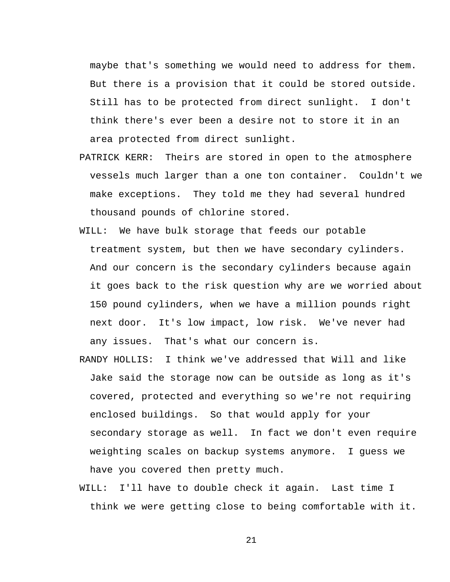maybe that's something we would need to address for them. But there is a provision that it could be stored outside. Still has to be protected from direct sunlight. I don't think there's ever been a desire not to store it in an area protected from direct sunlight.

- PATRICK KERR: Theirs are stored in open to the atmosphere vessels much larger than a one ton container. Couldn't we make exceptions. They told me they had several hundred thousand pounds of chlorine stored.
- WILL: We have bulk storage that feeds our potable treatment system, but then we have secondary cylinders. And our concern is the secondary cylinders because again it goes back to the risk question why are we worried about 150 pound cylinders, when we have a million pounds right next door. It's low impact, low risk. We've never had any issues. That's what our concern is.
- RANDY HOLLIS: I think we've addressed that Will and like Jake said the storage now can be outside as long as it's covered, protected and everything so we're not requiring enclosed buildings. So that would apply for your secondary storage as well. In fact we don't even require weighting scales on backup systems anymore. I guess we have you covered then pretty much.
- WILL: I'll have to double check it again. Last time I think we were getting close to being comfortable with it.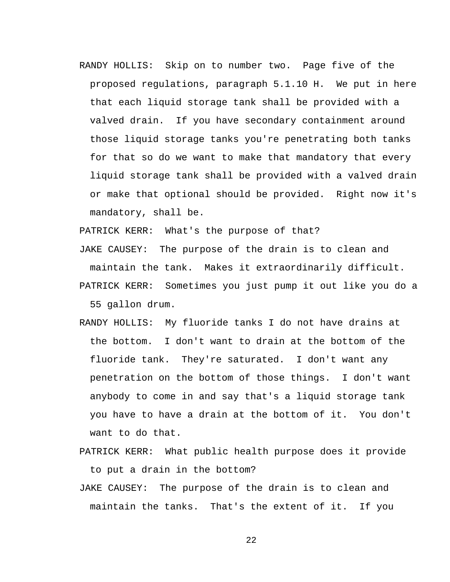RANDY HOLLIS: Skip on to number two. Page five of the proposed regulations, paragraph 5.1.10 H. We put in here that each liquid storage tank shall be provided with a valved drain. If you have secondary containment around those liquid storage tanks you're penetrating both tanks for that so do we want to make that mandatory that every liquid storage tank shall be provided with a valved drain or make that optional should be provided. Right now it's mandatory, shall be.

PATRICK KERR: What's the purpose of that?

JAKE CAUSEY: The purpose of the drain is to clean and maintain the tank. Makes it extraordinarily difficult. PATRICK KERR: Sometimes you just pump it out like you do a

55 gallon drum.

- RANDY HOLLIS: My fluoride tanks I do not have drains at the bottom. I don't want to drain at the bottom of the fluoride tank. They're saturated. I don't want any penetration on the bottom of those things. I don't want anybody to come in and say that's a liquid storage tank you have to have a drain at the bottom of it. You don't want to do that.
- PATRICK KERR: What public health purpose does it provide to put a drain in the bottom?
- JAKE CAUSEY: The purpose of the drain is to clean and maintain the tanks. That's the extent of it. If you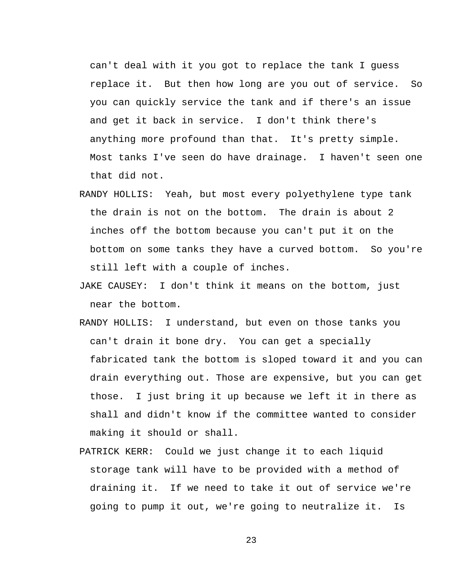can't deal with it you got to replace the tank I guess replace it. But then how long are you out of service. So you can quickly service the tank and if there's an issue and get it back in service. I don't think there's anything more profound than that. It's pretty simple. Most tanks I've seen do have drainage. I haven't seen one that did not.

- RANDY HOLLIS: Yeah, but most every polyethylene type tank the drain is not on the bottom. The drain is about 2 inches off the bottom because you can't put it on the bottom on some tanks they have a curved bottom. So you're still left with a couple of inches.
- JAKE CAUSEY: I don't think it means on the bottom, just near the bottom.
- RANDY HOLLIS: I understand, but even on those tanks you can't drain it bone dry. You can get a specially fabricated tank the bottom is sloped toward it and you can drain everything out. Those are expensive, but you can get those. I just bring it up because we left it in there as shall and didn't know if the committee wanted to consider making it should or shall.
- PATRICK KERR: Could we just change it to each liquid storage tank will have to be provided with a method of draining it. If we need to take it out of service we're going to pump it out, we're going to neutralize it. Is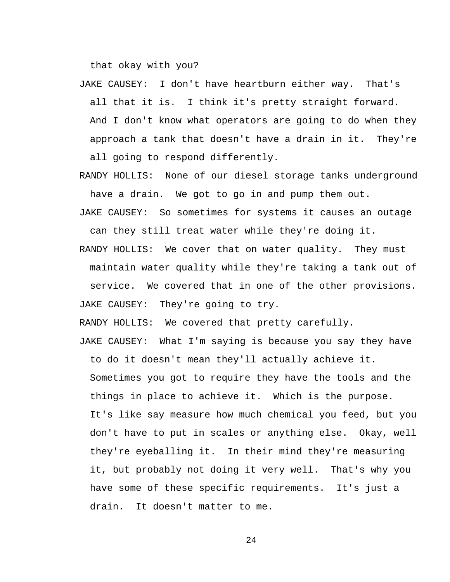that okay with you?

- JAKE CAUSEY: I don't have heartburn either way. That's all that it is. I think it's pretty straight forward. And I don't know what operators are going to do when they approach a tank that doesn't have a drain in it. They're all going to respond differently.
- RANDY HOLLIS: None of our diesel storage tanks underground have a drain. We got to go in and pump them out.

JAKE CAUSEY: So sometimes for systems it causes an outage can they still treat water while they're doing it.

RANDY HOLLIS: We cover that on water quality. They must maintain water quality while they're taking a tank out of service. We covered that in one of the other provisions. JAKE CAUSEY: They're going to try.

RANDY HOLLIS: We covered that pretty carefully.

JAKE CAUSEY: What I'm saying is because you say they have to do it doesn't mean they'll actually achieve it. Sometimes you got to require they have the tools and the things in place to achieve it. Which is the purpose. It's like say measure how much chemical you feed, but you don't have to put in scales or anything else. Okay, well they're eyeballing it. In their mind they're measuring it, but probably not doing it very well. That's why you have some of these specific requirements. It's just a drain. It doesn't matter to me.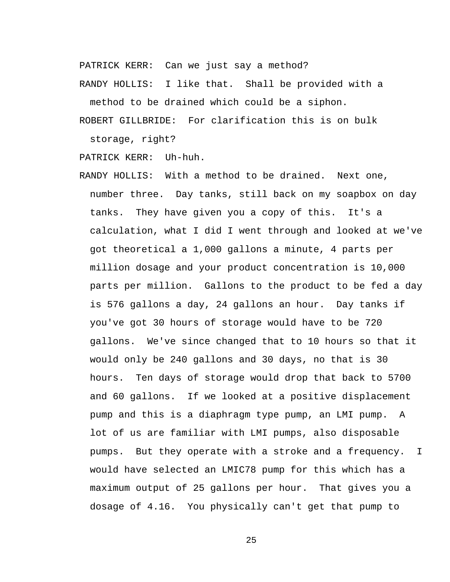PATRICK KERR: Can we just say a method?

RANDY HOLLIS: I like that. Shall be provided with a method to be drained which could be a siphon.

ROBERT GILLBRIDE: For clarification this is on bulk storage, right?

PATRICK KERR: Uh-huh.

RANDY HOLLIS: With a method to be drained. Next one, number three. Day tanks, still back on my soapbox on day tanks. They have given you a copy of this. It's a calculation, what I did I went through and looked at we've got theoretical a 1,000 gallons a minute, 4 parts per million dosage and your product concentration is 10,000 parts per million. Gallons to the product to be fed a day is 576 gallons a day, 24 gallons an hour. Day tanks if you've got 30 hours of storage would have to be 720 gallons. We've since changed that to 10 hours so that it would only be 240 gallons and 30 days, no that is 30 hours. Ten days of storage would drop that back to 5700 and 60 gallons. If we looked at a positive displacement pump and this is a diaphragm type pump, an LMI pump. A lot of us are familiar with LMI pumps, also disposable pumps. But they operate with a stroke and a frequency. I would have selected an LMIC78 pump for this which has a maximum output of 25 gallons per hour. That gives you a dosage of 4.16. You physically can't get that pump to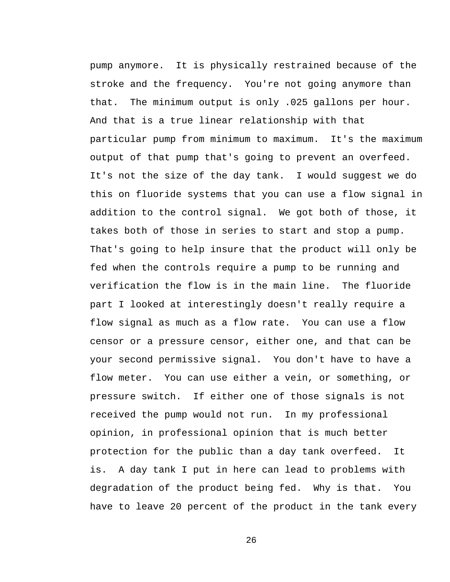pump anymore. It is physically restrained because of the stroke and the frequency. You're not going anymore than that. The minimum output is only .025 gallons per hour. And that is a true linear relationship with that particular pump from minimum to maximum. It's the maximum output of that pump that's going to prevent an overfeed. It's not the size of the day tank. I would suggest we do this on fluoride systems that you can use a flow signal in addition to the control signal. We got both of those, it takes both of those in series to start and stop a pump. That's going to help insure that the product will only be fed when the controls require a pump to be running and verification the flow is in the main line. The fluoride part I looked at interestingly doesn't really require a flow signal as much as a flow rate. You can use a flow censor or a pressure censor, either one, and that can be your second permissive signal. You don't have to have a flow meter. You can use either a vein, or something, or pressure switch. If either one of those signals is not received the pump would not run. In my professional opinion, in professional opinion that is much better protection for the public than a day tank overfeed. It is. A day tank I put in here can lead to problems with degradation of the product being fed. Why is that. You have to leave 20 percent of the product in the tank every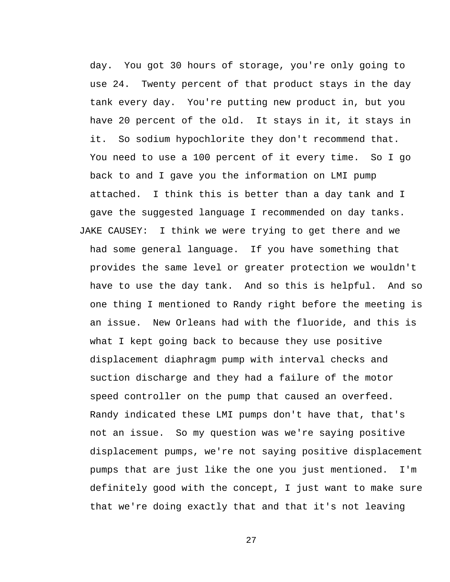day. You got 30 hours of storage, you're only going to use 24. Twenty percent of that product stays in the day tank every day. You're putting new product in, but you have 20 percent of the old. It stays in it, it stays in it. So sodium hypochlorite they don't recommend that. You need to use a 100 percent of it every time. So I go back to and I gave you the information on LMI pump attached. I think this is better than a day tank and I gave the suggested language I recommended on day tanks. JAKE CAUSEY: I think we were trying to get there and we had some general language. If you have something that provides the same level or greater protection we wouldn't have to use the day tank. And so this is helpful. And so one thing I mentioned to Randy right before the meeting is an issue. New Orleans had with the fluoride, and this is what I kept going back to because they use positive displacement diaphragm pump with interval checks and suction discharge and they had a failure of the motor speed controller on the pump that caused an overfeed. Randy indicated these LMI pumps don't have that, that's not an issue. So my question was we're saying positive displacement pumps, we're not saying positive displacement pumps that are just like the one you just mentioned. I'm definitely good with the concept, I just want to make sure that we're doing exactly that and that it's not leaving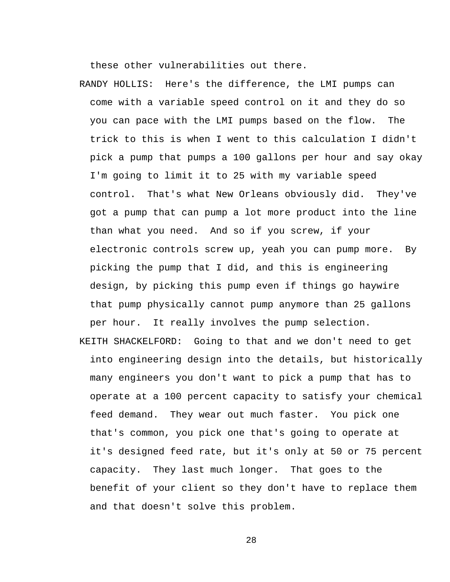these other vulnerabilities out there.

RANDY HOLLIS: Here's the difference, the LMI pumps can come with a variable speed control on it and they do so you can pace with the LMI pumps based on the flow. The trick to this is when I went to this calculation I didn't pick a pump that pumps a 100 gallons per hour and say okay I'm going to limit it to 25 with my variable speed control. That's what New Orleans obviously did. They've got a pump that can pump a lot more product into the line than what you need. And so if you screw, if your electronic controls screw up, yeah you can pump more. By picking the pump that I did, and this is engineering design, by picking this pump even if things go haywire that pump physically cannot pump anymore than 25 gallons per hour. It really involves the pump selection.

KEITH SHACKELFORD: Going to that and we don't need to get into engineering design into the details, but historically many engineers you don't want to pick a pump that has to operate at a 100 percent capacity to satisfy your chemical feed demand. They wear out much faster. You pick one that's common, you pick one that's going to operate at it's designed feed rate, but it's only at 50 or 75 percent capacity. They last much longer. That goes to the benefit of your client so they don't have to replace them and that doesn't solve this problem.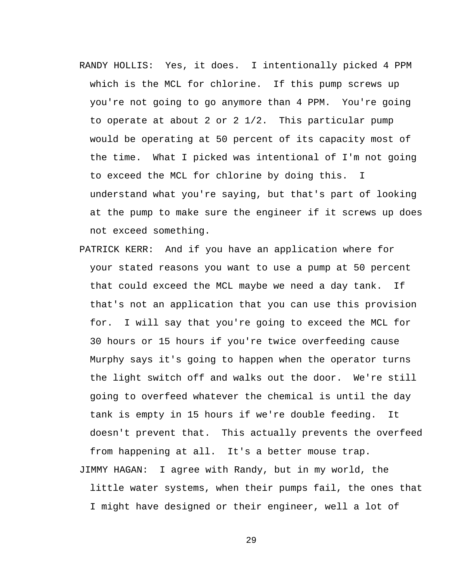- RANDY HOLLIS: Yes, it does. I intentionally picked 4 PPM which is the MCL for chlorine. If this pump screws up you're not going to go anymore than 4 PPM. You're going to operate at about 2 or 2 1/2. This particular pump would be operating at 50 percent of its capacity most of the time. What I picked was intentional of I'm not going to exceed the MCL for chlorine by doing this. I understand what you're saying, but that's part of looking at the pump to make sure the engineer if it screws up does not exceed something.
- PATRICK KERR: And if you have an application where for your stated reasons you want to use a pump at 50 percent that could exceed the MCL maybe we need a day tank. If that's not an application that you can use this provision for. I will say that you're going to exceed the MCL for 30 hours or 15 hours if you're twice overfeeding cause Murphy says it's going to happen when the operator turns the light switch off and walks out the door. We're still going to overfeed whatever the chemical is until the day tank is empty in 15 hours if we're double feeding. It doesn't prevent that. This actually prevents the overfeed from happening at all. It's a better mouse trap.

JIMMY HAGAN: I agree with Randy, but in my world, the little water systems, when their pumps fail, the ones that I might have designed or their engineer, well a lot of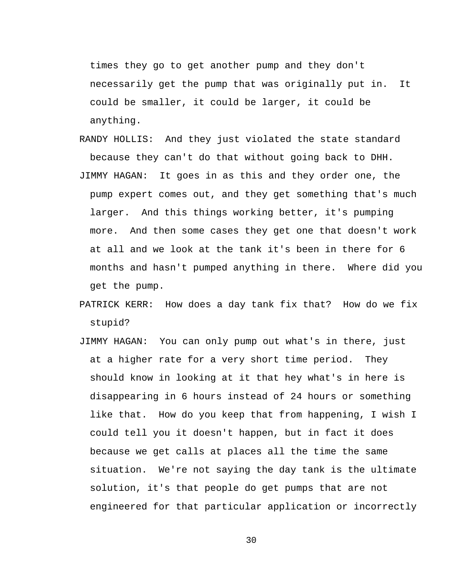times they go to get another pump and they don't necessarily get the pump that was originally put in. It could be smaller, it could be larger, it could be anything.

- RANDY HOLLIS: And they just violated the state standard because they can't do that without going back to DHH. JIMMY HAGAN: It goes in as this and they order one, the pump expert comes out, and they get something that's much larger. And this things working better, it's pumping more. And then some cases they get one that doesn't work at all and we look at the tank it's been in there for 6 months and hasn't pumped anything in there. Where did you get the pump.
- PATRICK KERR: How does a day tank fix that? How do we fix stupid?
- JIMMY HAGAN: You can only pump out what's in there, just at a higher rate for a very short time period. They should know in looking at it that hey what's in here is disappearing in 6 hours instead of 24 hours or something like that. How do you keep that from happening, I wish I could tell you it doesn't happen, but in fact it does because we get calls at places all the time the same situation. We're not saying the day tank is the ultimate solution, it's that people do get pumps that are not engineered for that particular application or incorrectly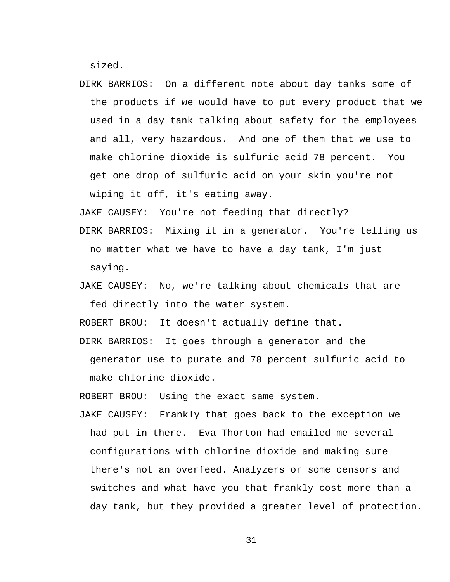sized.

DIRK BARRIOS: On a different note about day tanks some of the products if we would have to put every product that we used in a day tank talking about safety for the employees and all, very hazardous. And one of them that we use to make chlorine dioxide is sulfuric acid 78 percent. You get one drop of sulfuric acid on your skin you're not

wiping it off, it's eating away.

JAKE CAUSEY: You're not feeding that directly?

- DIRK BARRIOS: Mixing it in a generator. You're telling us no matter what we have to have a day tank, I'm just saying.
- JAKE CAUSEY: No, we're talking about chemicals that are fed directly into the water system.

ROBERT BROU: It doesn't actually define that.

DIRK BARRIOS: It goes through a generator and the generator use to purate and 78 percent sulfuric acid to make chlorine dioxide.

ROBERT BROU: Using the exact same system.

JAKE CAUSEY: Frankly that goes back to the exception we had put in there. Eva Thorton had emailed me several configurations with chlorine dioxide and making sure there's not an overfeed. Analyzers or some censors and switches and what have you that frankly cost more than a day tank, but they provided a greater level of protection.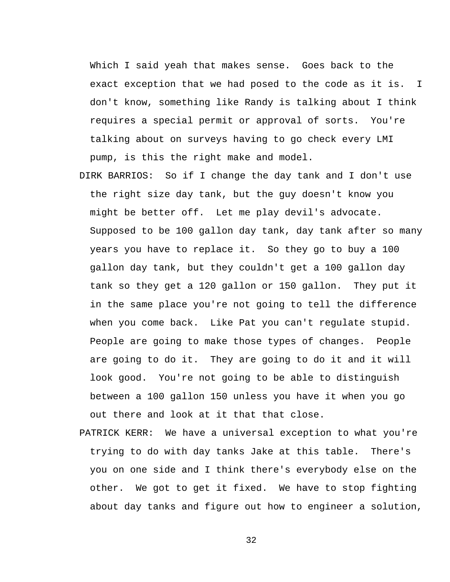Which I said yeah that makes sense. Goes back to the exact exception that we had posed to the code as it is. I don't know, something like Randy is talking about I think requires a special permit or approval of sorts. You're talking about on surveys having to go check every LMI pump, is this the right make and model.

- DIRK BARRIOS: So if I change the day tank and I don't use the right size day tank, but the guy doesn't know you might be better off. Let me play devil's advocate. Supposed to be 100 gallon day tank, day tank after so many years you have to replace it. So they go to buy a 100 gallon day tank, but they couldn't get a 100 gallon day tank so they get a 120 gallon or 150 gallon. They put it in the same place you're not going to tell the difference when you come back. Like Pat you can't regulate stupid. People are going to make those types of changes. People are going to do it. They are going to do it and it will look good. You're not going to be able to distinguish between a 100 gallon 150 unless you have it when you go out there and look at it that that close.
- PATRICK KERR: We have a universal exception to what you're trying to do with day tanks Jake at this table. There's you on one side and I think there's everybody else on the other. We got to get it fixed. We have to stop fighting about day tanks and figure out how to engineer a solution,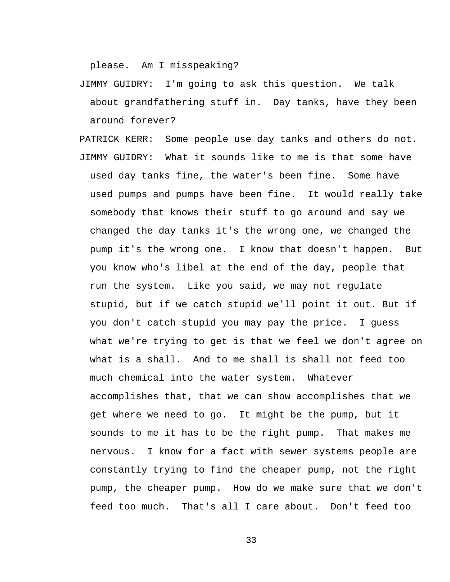please. Am I misspeaking?

- JIMMY GUIDRY: I'm going to ask this question. We talk about grandfathering stuff in. Day tanks, have they been around forever?
- PATRICK KERR: Some people use day tanks and others do not. JIMMY GUIDRY: What it sounds like to me is that some have used day tanks fine, the water's been fine. Some have used pumps and pumps have been fine. It would really take somebody that knows their stuff to go around and say we changed the day tanks it's the wrong one, we changed the pump it's the wrong one. I know that doesn't happen. But you know who's libel at the end of the day, people that run the system. Like you said, we may not regulate stupid, but if we catch stupid we'll point it out. But if you don't catch stupid you may pay the price. I guess what we're trying to get is that we feel we don't agree on what is a shall. And to me shall is shall not feed too much chemical into the water system. Whatever accomplishes that, that we can show accomplishes that we get where we need to go. It might be the pump, but it sounds to me it has to be the right pump. That makes me nervous. I know for a fact with sewer systems people are constantly trying to find the cheaper pump, not the right pump, the cheaper pump. How do we make sure that we don't feed too much. That's all I care about. Don't feed too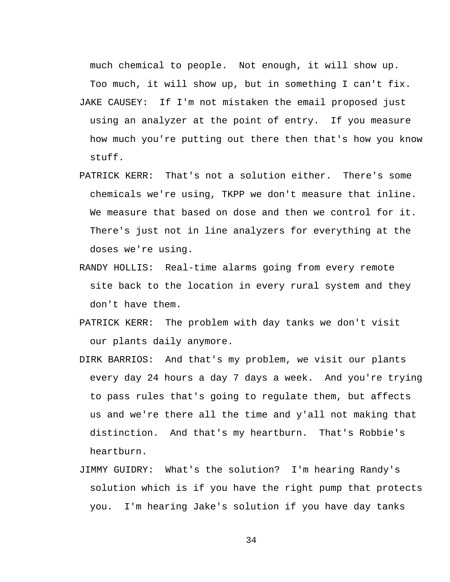much chemical to people. Not enough, it will show up. Too much, it will show up, but in something I can't fix. JAKE CAUSEY: If I'm not mistaken the email proposed just using an analyzer at the point of entry. If you measure how much you're putting out there then that's how you know stuff.

- PATRICK KERR: That's not a solution either. There's some chemicals we're using, TKPP we don't measure that inline. We measure that based on dose and then we control for it. There's just not in line analyzers for everything at the doses we're using.
- RANDY HOLLIS: Real-time alarms going from every remote site back to the location in every rural system and they don't have them.
- PATRICK KERR: The problem with day tanks we don't visit our plants daily anymore.
- DIRK BARRIOS: And that's my problem, we visit our plants every day 24 hours a day 7 days a week. And you're trying to pass rules that's going to regulate them, but affects us and we're there all the time and y'all not making that distinction. And that's my heartburn. That's Robbie's heartburn.
- JIMMY GUIDRY: What's the solution? I'm hearing Randy's solution which is if you have the right pump that protects you. I'm hearing Jake's solution if you have day tanks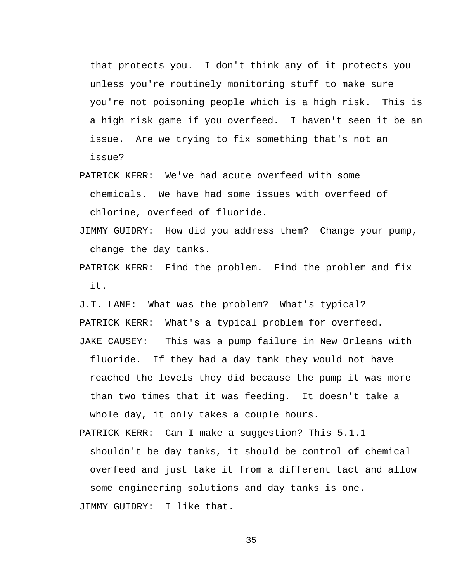that protects you. I don't think any of it protects you unless you're routinely monitoring stuff to make sure you're not poisoning people which is a high risk. This is a high risk game if you overfeed. I haven't seen it be an issue. Are we trying to fix something that's not an issue?

- PATRICK KERR: We've had acute overfeed with some chemicals. We have had some issues with overfeed of chlorine, overfeed of fluoride.
- JIMMY GUIDRY: How did you address them? Change your pump, change the day tanks.
- PATRICK KERR: Find the problem. Find the problem and fix it.

J.T. LANE: What was the problem? What's typical? PATRICK KERR: What's a typical problem for overfeed. JAKE CAUSEY: This was a pump failure in New Orleans with

fluoride. If they had a day tank they would not have reached the levels they did because the pump it was more than two times that it was feeding. It doesn't take a whole day, it only takes a couple hours.

PATRICK KERR: Can I make a suggestion? This 5.1.1 shouldn't be day tanks, it should be control of chemical overfeed and just take it from a different tact and allow some engineering solutions and day tanks is one. JIMMY GUIDRY: I like that.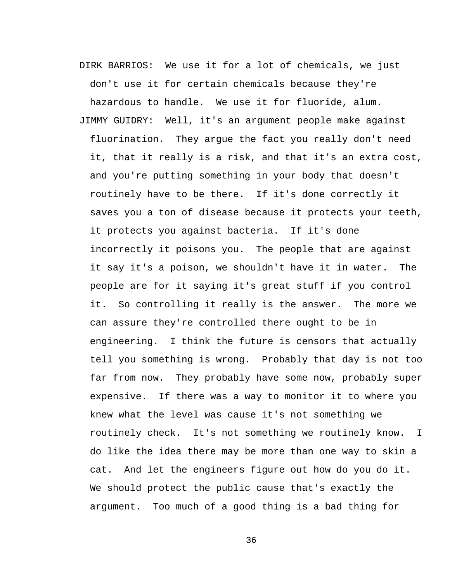DIRK BARRIOS: We use it for a lot of chemicals, we just don't use it for certain chemicals because they're hazardous to handle. We use it for fluoride, alum. JIMMY GUIDRY: Well, it's an argument people make against fluorination. They argue the fact you really don't need it, that it really is a risk, and that it's an extra cost, and you're putting something in your body that doesn't routinely have to be there. If it's done correctly it saves you a ton of disease because it protects your teeth, it protects you against bacteria. If it's done incorrectly it poisons you. The people that are against it say it's a poison, we shouldn't have it in water. The people are for it saying it's great stuff if you control it. So controlling it really is the answer. The more we can assure they're controlled there ought to be in engineering. I think the future is censors that actually tell you something is wrong. Probably that day is not too far from now. They probably have some now, probably super expensive. If there was a way to monitor it to where you knew what the level was cause it's not something we routinely check. It's not something we routinely know. I do like the idea there may be more than one way to skin a cat. And let the engineers figure out how do you do it. We should protect the public cause that's exactly the argument. Too much of a good thing is a bad thing for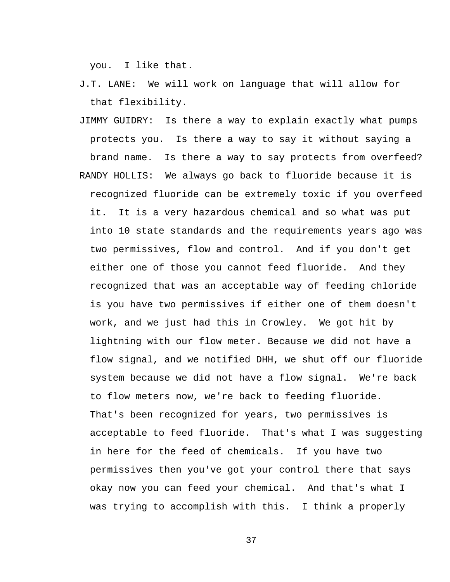you. I like that.

- J.T. LANE: We will work on language that will allow for that flexibility.
- JIMMY GUIDRY: Is there a way to explain exactly what pumps protects you. Is there a way to say it without saying a brand name. Is there a way to say protects from overfeed? RANDY HOLLIS: We always go back to fluoride because it is recognized fluoride can be extremely toxic if you overfeed it. It is a very hazardous chemical and so what was put into 10 state standards and the requirements years ago was two permissives, flow and control. And if you don't get either one of those you cannot feed fluoride. And they recognized that was an acceptable way of feeding chloride is you have two permissives if either one of them doesn't work, and we just had this in Crowley. We got hit by lightning with our flow meter. Because we did not have a flow signal, and we notified DHH, we shut off our fluoride system because we did not have a flow signal. We're back to flow meters now, we're back to feeding fluoride. That's been recognized for years, two permissives is acceptable to feed fluoride. That's what I was suggesting in here for the feed of chemicals. If you have two permissives then you've got your control there that says okay now you can feed your chemical. And that's what I was trying to accomplish with this. I think a properly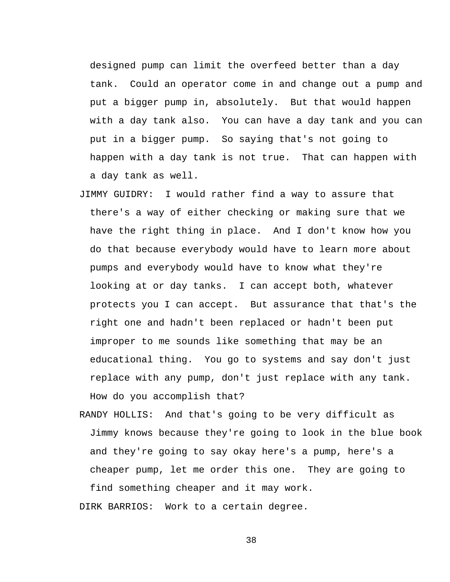designed pump can limit the overfeed better than a day tank. Could an operator come in and change out a pump and put a bigger pump in, absolutely. But that would happen with a day tank also. You can have a day tank and you can put in a bigger pump. So saying that's not going to happen with a day tank is not true. That can happen with a day tank as well.

- JIMMY GUIDRY: I would rather find a way to assure that there's a way of either checking or making sure that we have the right thing in place. And I don't know how you do that because everybody would have to learn more about pumps and everybody would have to know what they're looking at or day tanks. I can accept both, whatever protects you I can accept. But assurance that that's the right one and hadn't been replaced or hadn't been put improper to me sounds like something that may be an educational thing. You go to systems and say don't just replace with any pump, don't just replace with any tank. How do you accomplish that?
- RANDY HOLLIS: And that's going to be very difficult as Jimmy knows because they're going to look in the blue book and they're going to say okay here's a pump, here's a cheaper pump, let me order this one. They are going to find something cheaper and it may work.

DIRK BARRIOS: Work to a certain degree.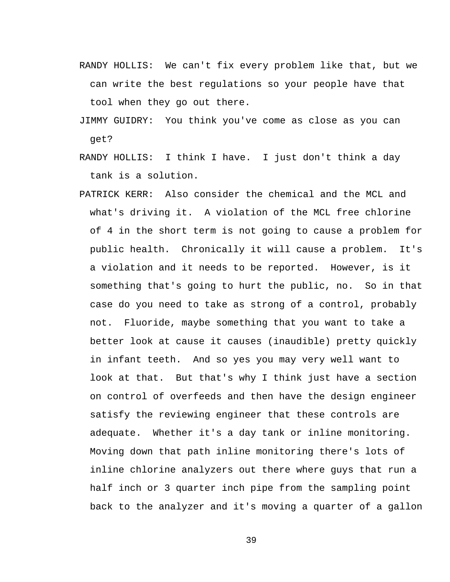- RANDY HOLLIS: We can't fix every problem like that, but we can write the best regulations so your people have that tool when they go out there.
- JIMMY GUIDRY: You think you've come as close as you can get?
- RANDY HOLLIS: I think I have. I just don't think a day tank is a solution.
- PATRICK KERR: Also consider the chemical and the MCL and what's driving it. A violation of the MCL free chlorine of 4 in the short term is not going to cause a problem for public health. Chronically it will cause a problem. It's a violation and it needs to be reported. However, is it something that's going to hurt the public, no. So in that case do you need to take as strong of a control, probably not. Fluoride, maybe something that you want to take a better look at cause it causes (inaudible) pretty quickly in infant teeth. And so yes you may very well want to look at that. But that's why I think just have a section on control of overfeeds and then have the design engineer satisfy the reviewing engineer that these controls are adequate. Whether it's a day tank or inline monitoring. Moving down that path inline monitoring there's lots of inline chlorine analyzers out there where guys that run a half inch or 3 quarter inch pipe from the sampling point back to the analyzer and it's moving a quarter of a gallon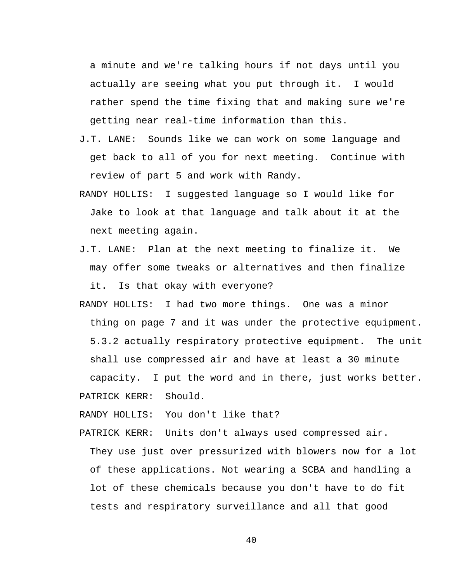a minute and we're talking hours if not days until you actually are seeing what you put through it. I would rather spend the time fixing that and making sure we're getting near real-time information than this.

- J.T. LANE: Sounds like we can work on some language and get back to all of you for next meeting. Continue with review of part 5 and work with Randy.
- RANDY HOLLIS: I suggested language so I would like for Jake to look at that language and talk about it at the next meeting again.
- J.T. LANE: Plan at the next meeting to finalize it. We may offer some tweaks or alternatives and then finalize it. Is that okay with everyone?
- RANDY HOLLIS: I had two more things. One was a minor thing on page 7 and it was under the protective equipment. 5.3.2 actually respiratory protective equipment. The unit shall use compressed air and have at least a 30 minute capacity. I put the word and in there, just works better.

PATRICK KERR: Should.

RANDY HOLLIS: You don't like that?

PATRICK KERR: Units don't always used compressed air. They use just over pressurized with blowers now for a lot of these applications. Not wearing a SCBA and handling a lot of these chemicals because you don't have to do fit tests and respiratory surveillance and all that good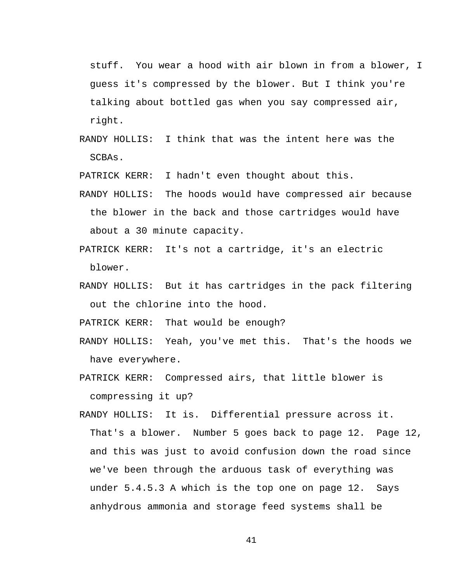stuff. You wear a hood with air blown in from a blower, I guess it's compressed by the blower. But I think you're talking about bottled gas when you say compressed air, right.

RANDY HOLLIS: I think that was the intent here was the SCBAs.

PATRICK KERR: I hadn't even thought about this.

- RANDY HOLLIS: The hoods would have compressed air because the blower in the back and those cartridges would have about a 30 minute capacity.
- PATRICK KERR: It's not a cartridge, it's an electric blower.
- RANDY HOLLIS: But it has cartridges in the pack filtering out the chlorine into the hood.

PATRICK KERR: That would be enough?

- RANDY HOLLIS: Yeah, you've met this. That's the hoods we have everywhere.
- PATRICK KERR: Compressed airs, that little blower is compressing it up?
- RANDY HOLLIS: It is. Differential pressure across it. That's a blower. Number 5 goes back to page 12. Page 12, and this was just to avoid confusion down the road since we've been through the arduous task of everything was under 5.4.5.3 A which is the top one on page 12. Says anhydrous ammonia and storage feed systems shall be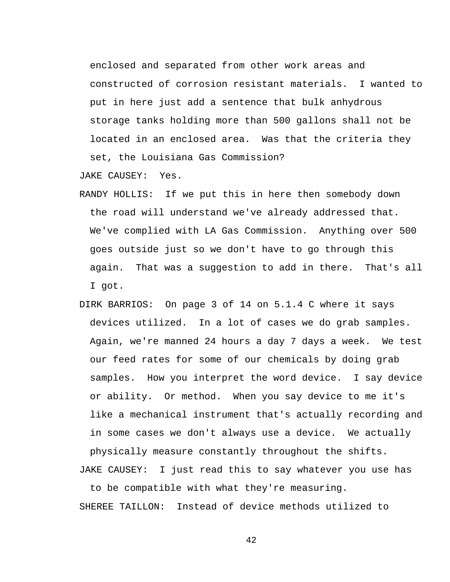enclosed and separated from other work areas and constructed of corrosion resistant materials. I wanted to put in here just add a sentence that bulk anhydrous storage tanks holding more than 500 gallons shall not be located in an enclosed area. Was that the criteria they set, the Louisiana Gas Commission?

JAKE CAUSEY: Yes.

- RANDY HOLLIS: If we put this in here then somebody down the road will understand we've already addressed that. We've complied with LA Gas Commission. Anything over 500 goes outside just so we don't have to go through this again. That was a suggestion to add in there. That's all I got.
- DIRK BARRIOS: On page 3 of 14 on 5.1.4 C where it says devices utilized. In a lot of cases we do grab samples. Again, we're manned 24 hours a day 7 days a week. We test our feed rates for some of our chemicals by doing grab samples. How you interpret the word device. I say device or ability. Or method. When you say device to me it's like a mechanical instrument that's actually recording and in some cases we don't always use a device. We actually physically measure constantly throughout the shifts. JAKE CAUSEY: I just read this to say whatever you use has

to be compatible with what they're measuring. SHEREE TAILLON: Instead of device methods utilized to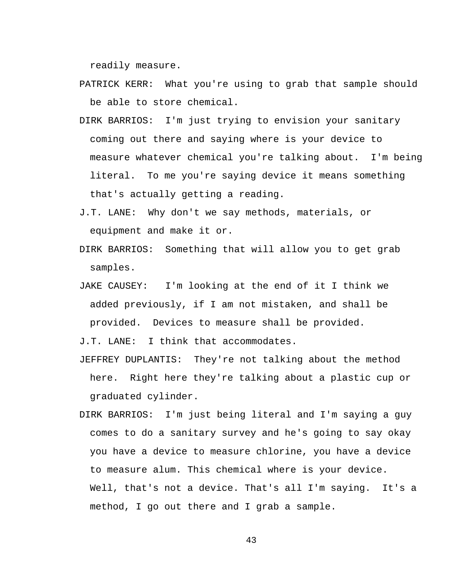readily measure.

- PATRICK KERR: What you're using to grab that sample should be able to store chemical.
- DIRK BARRIOS: I'm just trying to envision your sanitary coming out there and saying where is your device to measure whatever chemical you're talking about. I'm being literal. To me you're saying device it means something that's actually getting a reading.
- J.T. LANE: Why don't we say methods, materials, or equipment and make it or.
- DIRK BARRIOS: Something that will allow you to get grab samples.
- JAKE CAUSEY: I'm looking at the end of it I think we added previously, if I am not mistaken, and shall be provided. Devices to measure shall be provided.

J.T. LANE: I think that accommodates.

- JEFFREY DUPLANTIS: They're not talking about the method here. Right here they're talking about a plastic cup or graduated cylinder.
- DIRK BARRIOS: I'm just being literal and I'm saying a guy comes to do a sanitary survey and he's going to say okay you have a device to measure chlorine, you have a device to measure alum. This chemical where is your device. Well, that's not a device. That's all I'm saying. It's a method, I go out there and I grab a sample.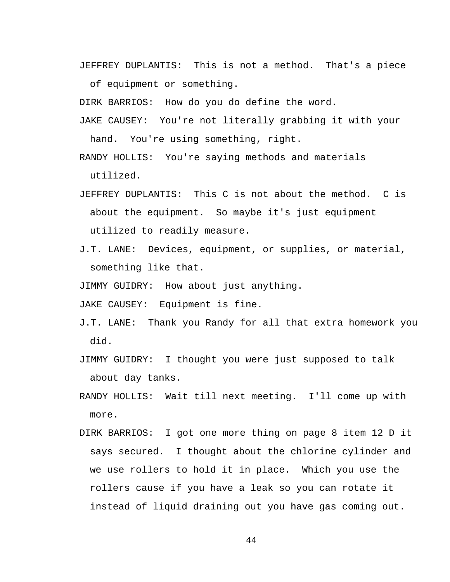JEFFREY DUPLANTIS: This is not a method. That's a piece

of equipment or something.

DIRK BARRIOS: How do you do define the word.

JAKE CAUSEY: You're not literally grabbing it with your hand. You're using something, right.

RANDY HOLLIS: You're saying methods and materials utilized.

- JEFFREY DUPLANTIS: This C is not about the method. C is about the equipment. So maybe it's just equipment utilized to readily measure.
- J.T. LANE: Devices, equipment, or supplies, or material, something like that.

JIMMY GUIDRY: How about just anything.

JAKE CAUSEY: Equipment is fine.

- J.T. LANE: Thank you Randy for all that extra homework you did.
- JIMMY GUIDRY: I thought you were just supposed to talk about day tanks.
- RANDY HOLLIS: Wait till next meeting. I'll come up with more.
- DIRK BARRIOS: I got one more thing on page 8 item 12 D it says secured. I thought about the chlorine cylinder and we use rollers to hold it in place. Which you use the rollers cause if you have a leak so you can rotate it instead of liquid draining out you have gas coming out.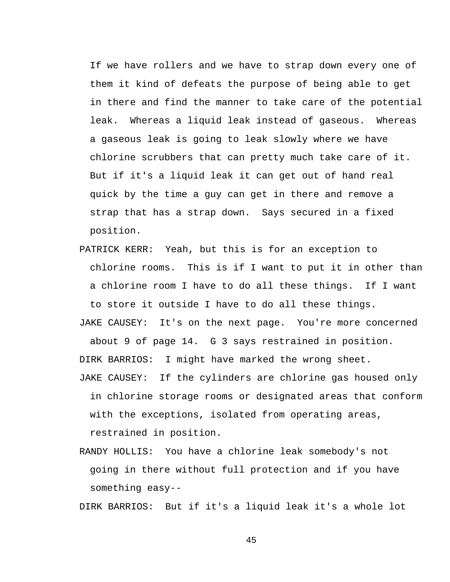If we have rollers and we have to strap down every one of them it kind of defeats the purpose of being able to get in there and find the manner to take care of the potential leak. Whereas a liquid leak instead of gaseous. Whereas a gaseous leak is going to leak slowly where we have chlorine scrubbers that can pretty much take care of it. But if it's a liquid leak it can get out of hand real quick by the time a guy can get in there and remove a strap that has a strap down. Says secured in a fixed position.

PATRICK KERR: Yeah, but this is for an exception to chlorine rooms. This is if I want to put it in other than a chlorine room I have to do all these things. If I want to store it outside I have to do all these things.

JAKE CAUSEY: It's on the next page. You're more concerned about 9 of page 14. G 3 says restrained in position.

DIRK BARRIOS: I might have marked the wrong sheet.

- JAKE CAUSEY: If the cylinders are chlorine gas housed only in chlorine storage rooms or designated areas that conform with the exceptions, isolated from operating areas, restrained in position.
- RANDY HOLLIS: You have a chlorine leak somebody's not going in there without full protection and if you have something easy--

DIRK BARRIOS: But if it's a liquid leak it's a whole lot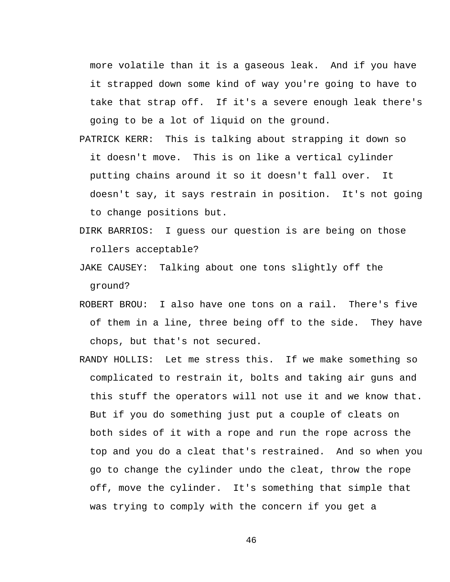more volatile than it is a gaseous leak. And if you have it strapped down some kind of way you're going to have to take that strap off. If it's a severe enough leak there's going to be a lot of liquid on the ground.

- PATRICK KERR: This is talking about strapping it down so it doesn't move. This is on like a vertical cylinder putting chains around it so it doesn't fall over. It doesn't say, it says restrain in position. It's not going to change positions but.
- DIRK BARRIOS: I guess our question is are being on those rollers acceptable?
- JAKE CAUSEY: Talking about one tons slightly off the ground?
- ROBERT BROU: I also have one tons on a rail. There's five of them in a line, three being off to the side. They have chops, but that's not secured.
- RANDY HOLLIS: Let me stress this. If we make something so complicated to restrain it, bolts and taking air guns and this stuff the operators will not use it and we know that. But if you do something just put a couple of cleats on both sides of it with a rope and run the rope across the top and you do a cleat that's restrained. And so when you go to change the cylinder undo the cleat, throw the rope off, move the cylinder. It's something that simple that was trying to comply with the concern if you get a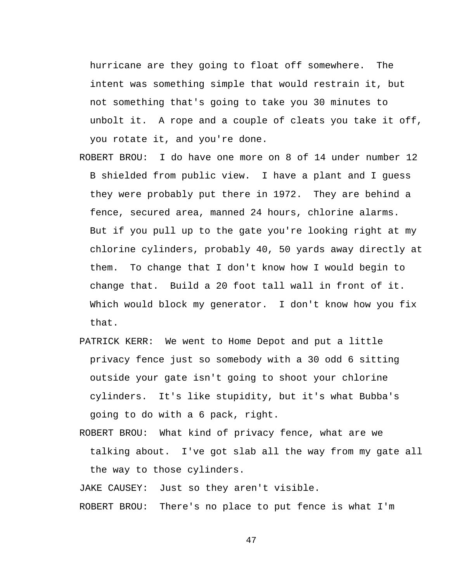hurricane are they going to float off somewhere. The intent was something simple that would restrain it, but not something that's going to take you 30 minutes to unbolt it. A rope and a couple of cleats you take it off, you rotate it, and you're done.

- ROBERT BROU: I do have one more on 8 of 14 under number 12 B shielded from public view. I have a plant and I guess they were probably put there in 1972. They are behind a fence, secured area, manned 24 hours, chlorine alarms. But if you pull up to the gate you're looking right at my chlorine cylinders, probably 40, 50 yards away directly at them. To change that I don't know how I would begin to change that. Build a 20 foot tall wall in front of it. Which would block my generator. I don't know how you fix that.
- PATRICK KERR: We went to Home Depot and put a little privacy fence just so somebody with a 30 odd 6 sitting outside your gate isn't going to shoot your chlorine cylinders. It's like stupidity, but it's what Bubba's going to do with a 6 pack, right.
- ROBERT BROU: What kind of privacy fence, what are we talking about. I've got slab all the way from my gate all the way to those cylinders.

JAKE CAUSEY: Just so they aren't visible.

ROBERT BROU: There's no place to put fence is what I'm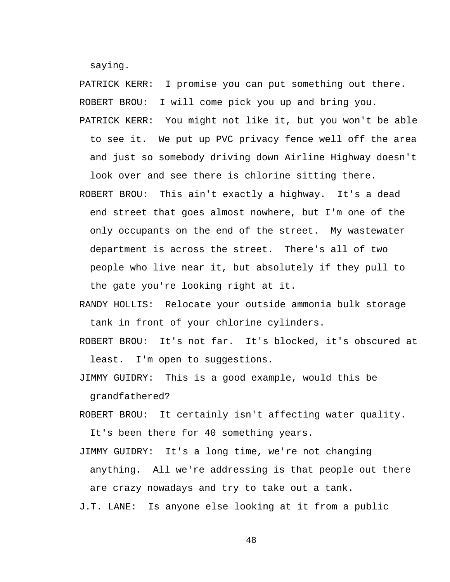saying.

PATRICK KERR: I promise you can put something out there. ROBERT BROU: I will come pick you up and bring you.

- PATRICK KERR: You might not like it, but you won't be able to see it. We put up PVC privacy fence well off the area and just so somebody driving down Airline Highway doesn't look over and see there is chlorine sitting there.
- ROBERT BROU: This ain't exactly a highway. It's a dead end street that goes almost nowhere, but I'm one of the only occupants on the end of the street. My wastewater department is across the street. There's all of two people who live near it, but absolutely if they pull to the gate you're looking right at it.
- RANDY HOLLIS: Relocate your outside ammonia bulk storage tank in front of your chlorine cylinders.
- ROBERT BROU: It's not far. It's blocked, it's obscured at least. I'm open to suggestions.
- JIMMY GUIDRY: This is a good example, would this be grandfathered?
- ROBERT BROU: It certainly isn't affecting water quality. It's been there for 40 something years.
- JIMMY GUIDRY: It's a long time, we're not changing anything. All we're addressing is that people out there are crazy nowadays and try to take out a tank.
- J.T. LANE: Is anyone else looking at it from a public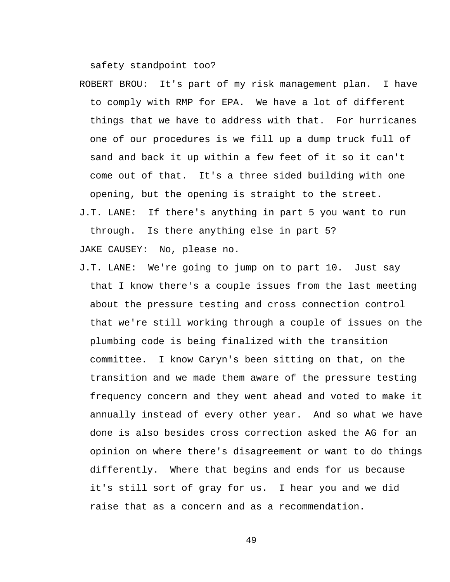safety standpoint too?

- ROBERT BROU: It's part of my risk management plan. I have to comply with RMP for EPA. We have a lot of different things that we have to address with that. For hurricanes one of our procedures is we fill up a dump truck full of sand and back it up within a few feet of it so it can't come out of that. It's a three sided building with one opening, but the opening is straight to the street.
- J.T. LANE: If there's anything in part 5 you want to run through. Is there anything else in part 5?

JAKE CAUSEY: No, please no.

J.T. LANE: We're going to jump on to part 10. Just say that I know there's a couple issues from the last meeting about the pressure testing and cross connection control that we're still working through a couple of issues on the plumbing code is being finalized with the transition committee. I know Caryn's been sitting on that, on the transition and we made them aware of the pressure testing frequency concern and they went ahead and voted to make it annually instead of every other year. And so what we have done is also besides cross correction asked the AG for an opinion on where there's disagreement or want to do things differently. Where that begins and ends for us because it's still sort of gray for us. I hear you and we did raise that as a concern and as a recommendation.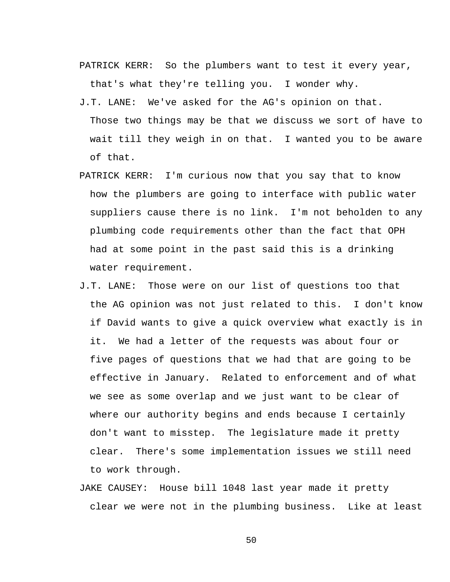PATRICK KERR: So the plumbers want to test it every year, that's what they're telling you. I wonder why.

- J.T. LANE: We've asked for the AG's opinion on that. Those two things may be that we discuss we sort of have to wait till they weigh in on that. I wanted you to be aware of that.
- PATRICK KERR: I'm curious now that you say that to know how the plumbers are going to interface with public water suppliers cause there is no link. I'm not beholden to any plumbing code requirements other than the fact that OPH had at some point in the past said this is a drinking water requirement.
- J.T. LANE: Those were on our list of questions too that the AG opinion was not just related to this. I don't know if David wants to give a quick overview what exactly is in it. We had a letter of the requests was about four or five pages of questions that we had that are going to be effective in January. Related to enforcement and of what we see as some overlap and we just want to be clear of where our authority begins and ends because I certainly don't want to misstep. The legislature made it pretty clear. There's some implementation issues we still need to work through.
- JAKE CAUSEY: House bill 1048 last year made it pretty clear we were not in the plumbing business. Like at least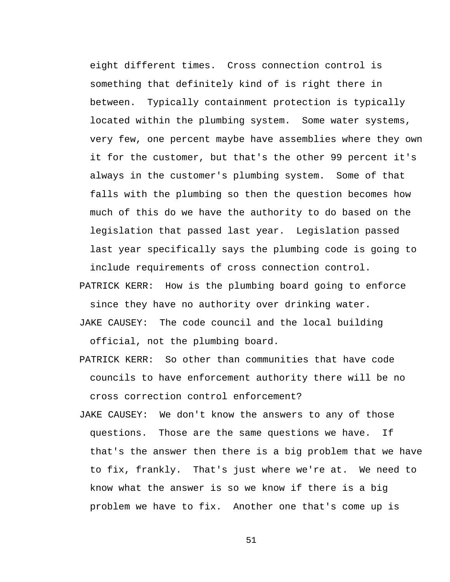eight different times. Cross connection control is something that definitely kind of is right there in between. Typically containment protection is typically located within the plumbing system. Some water systems, very few, one percent maybe have assemblies where they own it for the customer, but that's the other 99 percent it's always in the customer's plumbing system. Some of that falls with the plumbing so then the question becomes how much of this do we have the authority to do based on the legislation that passed last year. Legislation passed last year specifically says the plumbing code is going to include requirements of cross connection control.

PATRICK KERR: How is the plumbing board going to enforce

since they have no authority over drinking water.

- JAKE CAUSEY: The code council and the local building official, not the plumbing board.
- PATRICK KERR: So other than communities that have code councils to have enforcement authority there will be no cross correction control enforcement?
- JAKE CAUSEY: We don't know the answers to any of those questions. Those are the same questions we have. If that's the answer then there is a big problem that we have to fix, frankly. That's just where we're at. We need to know what the answer is so we know if there is a big problem we have to fix. Another one that's come up is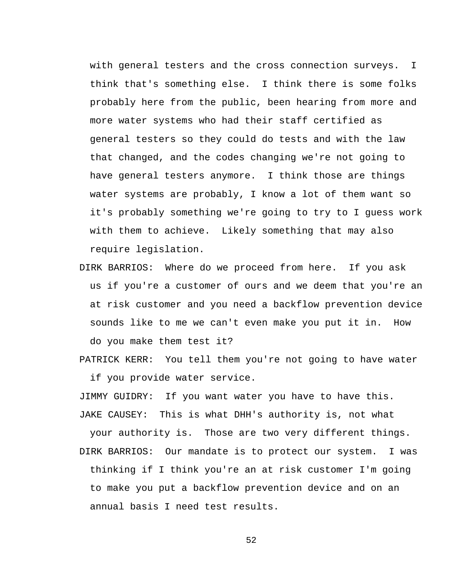with general testers and the cross connection surveys. I think that's something else. I think there is some folks probably here from the public, been hearing from more and more water systems who had their staff certified as general testers so they could do tests and with the law that changed, and the codes changing we're not going to have general testers anymore. I think those are things water systems are probably, I know a lot of them want so it's probably something we're going to try to I guess work with them to achieve. Likely something that may also require legislation.

DIRK BARRIOS: Where do we proceed from here. If you ask us if you're a customer of ours and we deem that you're an at risk customer and you need a backflow prevention device sounds like to me we can't even make you put it in. How do you make them test it?

PATRICK KERR: You tell them you're not going to have water if you provide water service.

JIMMY GUIDRY: If you want water you have to have this. JAKE CAUSEY: This is what DHH's authority is, not what

your authority is. Those are two very different things. DIRK BARRIOS: Our mandate is to protect our system. I was thinking if I think you're an at risk customer I'm going to make you put a backflow prevention device and on an annual basis I need test results.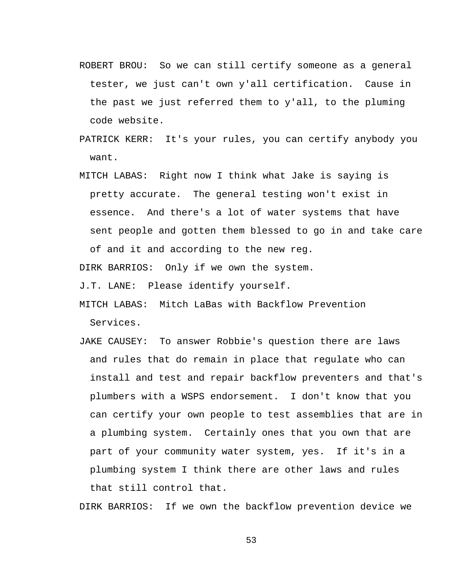- ROBERT BROU: So we can still certify someone as a general tester, we just can't own y'all certification. Cause in the past we just referred them to y'all, to the pluming code website.
- PATRICK KERR: It's your rules, you can certify anybody you want.
- MITCH LABAS: Right now I think what Jake is saying is pretty accurate. The general testing won't exist in essence. And there's a lot of water systems that have sent people and gotten them blessed to go in and take care

of and it and according to the new reg.

DIRK BARRIOS: Only if we own the system.

J.T. LANE: Please identify yourself.

- MITCH LABAS: Mitch LaBas with Backflow Prevention Services.
- JAKE CAUSEY: To answer Robbie's question there are laws and rules that do remain in place that regulate who can install and test and repair backflow preventers and that's plumbers with a WSPS endorsement. I don't know that you can certify your own people to test assemblies that are in a plumbing system. Certainly ones that you own that are part of your community water system, yes. If it's in a plumbing system I think there are other laws and rules that still control that.

DIRK BARRIOS: If we own the backflow prevention device we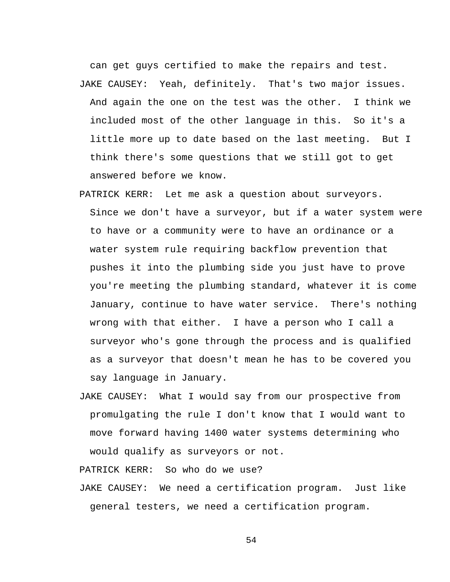can get guys certified to make the repairs and test. JAKE CAUSEY: Yeah, definitely. That's two major issues. And again the one on the test was the other. I think we included most of the other language in this. So it's a little more up to date based on the last meeting. But I think there's some questions that we still got to get answered before we know.

- PATRICK KERR: Let me ask a question about surveyors. Since we don't have a surveyor, but if a water system were to have or a community were to have an ordinance or a water system rule requiring backflow prevention that pushes it into the plumbing side you just have to prove you're meeting the plumbing standard, whatever it is come January, continue to have water service. There's nothing wrong with that either. I have a person who I call a surveyor who's gone through the process and is qualified as a surveyor that doesn't mean he has to be covered you say language in January.
- JAKE CAUSEY: What I would say from our prospective from promulgating the rule I don't know that I would want to move forward having 1400 water systems determining who would qualify as surveyors or not.

PATRICK KERR: So who do we use?

JAKE CAUSEY: We need a certification program. Just like general testers, we need a certification program.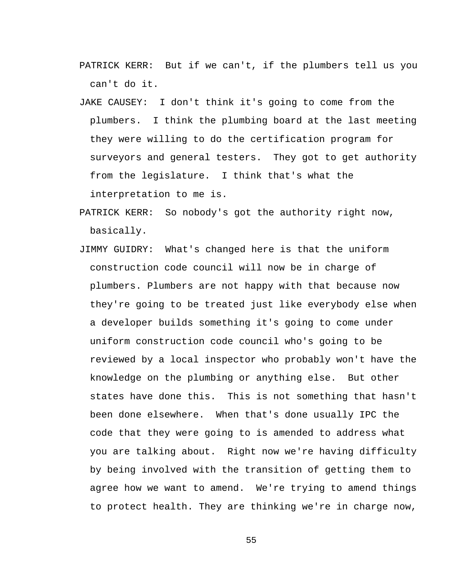- PATRICK KERR: But if we can't, if the plumbers tell us you can't do it.
- JAKE CAUSEY: I don't think it's going to come from the plumbers. I think the plumbing board at the last meeting they were willing to do the certification program for surveyors and general testers. They got to get authority from the legislature. I think that's what the interpretation to me is.
- PATRICK KERR: So nobody's got the authority right now, basically.
- JIMMY GUIDRY: What's changed here is that the uniform construction code council will now be in charge of plumbers. Plumbers are not happy with that because now they're going to be treated just like everybody else when a developer builds something it's going to come under uniform construction code council who's going to be reviewed by a local inspector who probably won't have the knowledge on the plumbing or anything else. But other states have done this. This is not something that hasn't been done elsewhere. When that's done usually IPC the code that they were going to is amended to address what you are talking about. Right now we're having difficulty by being involved with the transition of getting them to agree how we want to amend. We're trying to amend things to protect health. They are thinking we're in charge now,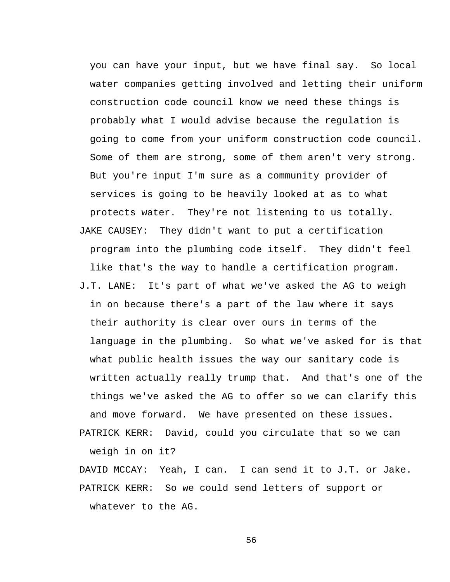you can have your input, but we have final say. So local water companies getting involved and letting their uniform construction code council know we need these things is probably what I would advise because the regulation is going to come from your uniform construction code council. Some of them are strong, some of them aren't very strong. But you're input I'm sure as a community provider of services is going to be heavily looked at as to what protects water. They're not listening to us totally. JAKE CAUSEY: They didn't want to put a certification program into the plumbing code itself. They didn't feel like that's the way to handle a certification program. J.T. LANE: It's part of what we've asked the AG to weigh in on because there's a part of the law where it says their authority is clear over ours in terms of the language in the plumbing. So what we've asked for is that what public health issues the way our sanitary code is written actually really trump that. And that's one of the things we've asked the AG to offer so we can clarify this and move forward. We have presented on these issues. PATRICK KERR: David, could you circulate that so we can

weigh in on it?

DAVID MCCAY: Yeah, I can. I can send it to J.T. or Jake. PATRICK KERR: So we could send letters of support or whatever to the AG.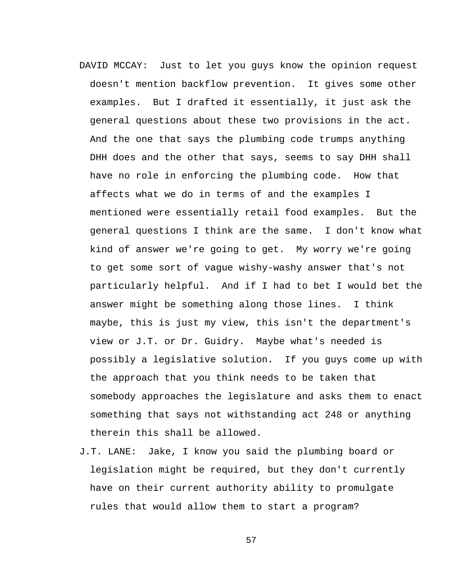- DAVID MCCAY: Just to let you guys know the opinion request doesn't mention backflow prevention. It gives some other examples. But I drafted it essentially, it just ask the general questions about these two provisions in the act. And the one that says the plumbing code trumps anything DHH does and the other that says, seems to say DHH shall have no role in enforcing the plumbing code. How that affects what we do in terms of and the examples I mentioned were essentially retail food examples. But the general questions I think are the same. I don't know what kind of answer we're going to get. My worry we're going to get some sort of vague wishy-washy answer that's not particularly helpful. And if I had to bet I would bet the answer might be something along those lines. I think maybe, this is just my view, this isn't the department's view or J.T. or Dr. Guidry. Maybe what's needed is possibly a legislative solution. If you guys come up with the approach that you think needs to be taken that somebody approaches the legislature and asks them to enact something that says not withstanding act 248 or anything therein this shall be allowed.
- J.T. LANE: Jake, I know you said the plumbing board or legislation might be required, but they don't currently have on their current authority ability to promulgate rules that would allow them to start a program?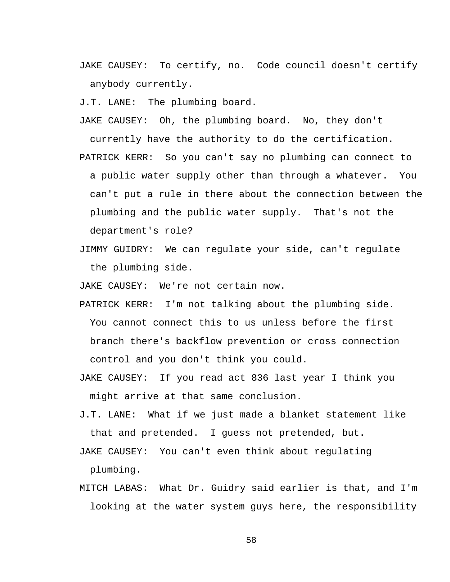JAKE CAUSEY: To certify, no. Code council doesn't certify anybody currently.

J.T. LANE: The plumbing board.

JAKE CAUSEY: Oh, the plumbing board. No, they don't

currently have the authority to do the certification.

PATRICK KERR: So you can't say no plumbing can connect to a public water supply other than through a whatever. You can't put a rule in there about the connection between the plumbing and the public water supply. That's not the department's role?

JIMMY GUIDRY: We can regulate your side, can't regulate the plumbing side.

JAKE CAUSEY: We're not certain now.

- PATRICK KERR: I'm not talking about the plumbing side. You cannot connect this to us unless before the first branch there's backflow prevention or cross connection control and you don't think you could.
- JAKE CAUSEY: If you read act 836 last year I think you might arrive at that same conclusion.
- J.T. LANE: What if we just made a blanket statement like that and pretended. I guess not pretended, but.
- JAKE CAUSEY: You can't even think about regulating plumbing.
- MITCH LABAS: What Dr. Guidry said earlier is that, and I'm looking at the water system guys here, the responsibility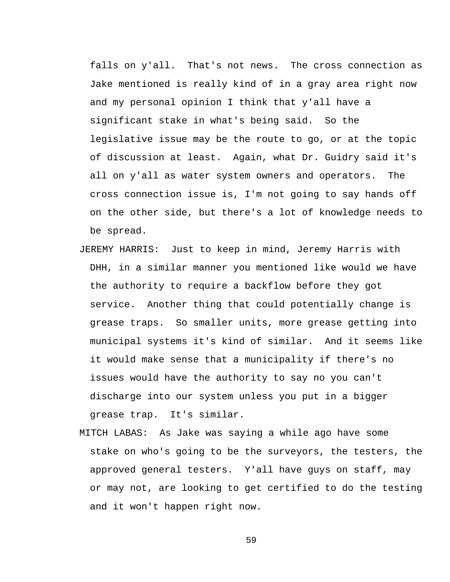falls on y'all. That's not news. The cross connection as Jake mentioned is really kind of in a gray area right now and my personal opinion I think that y'all have a significant stake in what's being said. So the legislative issue may be the route to go, or at the topic of discussion at least. Again, what Dr. Guidry said it's all on y'all as water system owners and operators. The cross connection issue is, I'm not going to say hands off on the other side, but there's a lot of knowledge needs to be spread.

- JEREMY HARRIS: Just to keep in mind, Jeremy Harris with DHH, in a similar manner you mentioned like would we have the authority to require a backflow before they got service. Another thing that could potentially change is grease traps. So smaller units, more grease getting into municipal systems it's kind of similar. And it seems like it would make sense that a municipality if there's no issues would have the authority to say no you can't discharge into our system unless you put in a bigger grease trap. It's similar.
- MITCH LABAS: As Jake was saying a while ago have some stake on who's going to be the surveyors, the testers, the approved general testers. Y'all have guys on staff, may or may not, are looking to get certified to do the testing and it won't happen right now.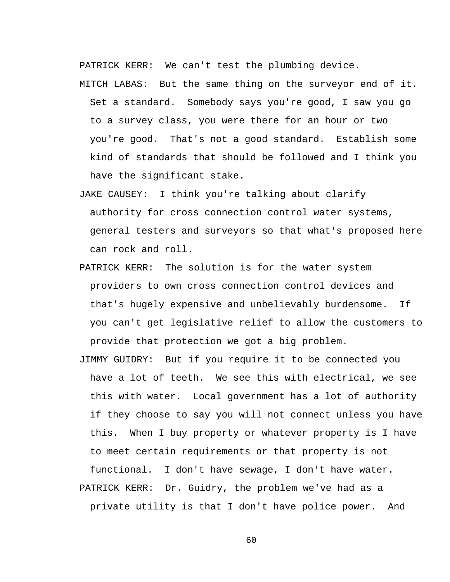PATRICK KERR: We can't test the plumbing device.

MITCH LABAS: But the same thing on the surveyor end of it.

Set a standard. Somebody says you're good, I saw you go to a survey class, you were there for an hour or two you're good. That's not a good standard. Establish some kind of standards that should be followed and I think you have the significant stake.

- JAKE CAUSEY: I think you're talking about clarify authority for cross connection control water systems, general testers and surveyors so that what's proposed here can rock and roll.
- PATRICK KERR: The solution is for the water system providers to own cross connection control devices and that's hugely expensive and unbelievably burdensome. If you can't get legislative relief to allow the customers to provide that protection we got a big problem.
- JIMMY GUIDRY: But if you require it to be connected you have a lot of teeth. We see this with electrical, we see this with water. Local government has a lot of authority if they choose to say you will not connect unless you have this. When I buy property or whatever property is I have to meet certain requirements or that property is not functional. I don't have sewage, I don't have water. PATRICK KERR: Dr. Guidry, the problem we've had as a private utility is that I don't have police power. And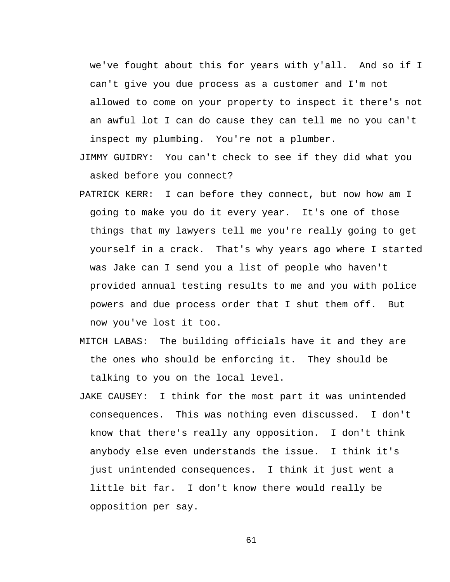we've fought about this for years with y'all. And so if I can't give you due process as a customer and I'm not allowed to come on your property to inspect it there's not an awful lot I can do cause they can tell me no you can't inspect my plumbing. You're not a plumber.

- JIMMY GUIDRY: You can't check to see if they did what you asked before you connect?
- PATRICK KERR: I can before they connect, but now how am I going to make you do it every year. It's one of those things that my lawyers tell me you're really going to get yourself in a crack. That's why years ago where I started was Jake can I send you a list of people who haven't provided annual testing results to me and you with police powers and due process order that I shut them off. But now you've lost it too.
- MITCH LABAS: The building officials have it and they are the ones who should be enforcing it. They should be talking to you on the local level.
- JAKE CAUSEY: I think for the most part it was unintended consequences. This was nothing even discussed. I don't know that there's really any opposition. I don't think anybody else even understands the issue. I think it's just unintended consequences. I think it just went a little bit far. I don't know there would really be opposition per say.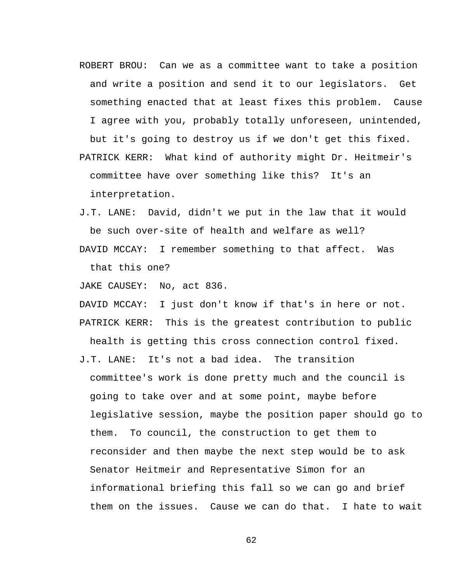ROBERT BROU: Can we as a committee want to take a position and write a position and send it to our legislators. Get something enacted that at least fixes this problem. Cause I agree with you, probably totally unforeseen, unintended, but it's going to destroy us if we don't get this fixed. PATRICK KERR: What kind of authority might Dr. Heitmeir's committee have over something like this? It's an

interpretation.

- J.T. LANE: David, didn't we put in the law that it would be such over-site of health and welfare as well?
- DAVID MCCAY: I remember something to that affect. Was that this one?

JAKE CAUSEY: No, act 836.

DAVID MCCAY: I just don't know if that's in here or not. PATRICK KERR: This is the greatest contribution to public

health is getting this cross connection control fixed.

J.T. LANE: It's not a bad idea. The transition committee's work is done pretty much and the council is going to take over and at some point, maybe before legislative session, maybe the position paper should go to them. To council, the construction to get them to reconsider and then maybe the next step would be to ask Senator Heitmeir and Representative Simon for an informational briefing this fall so we can go and brief them on the issues. Cause we can do that. I hate to wait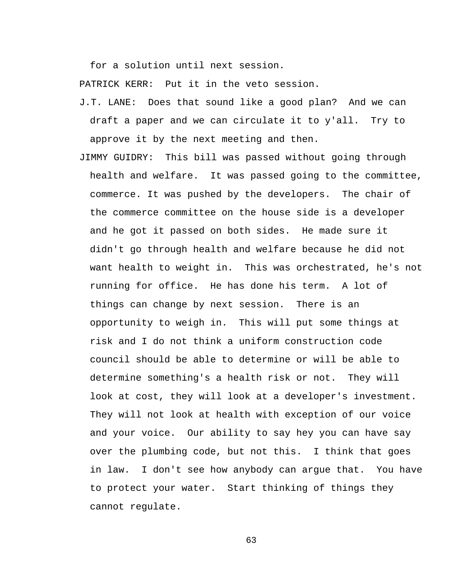for a solution until next session.

PATRICK KERR: Put it in the veto session.

- J.T. LANE: Does that sound like a good plan? And we can draft a paper and we can circulate it to y'all. Try to approve it by the next meeting and then.
- JIMMY GUIDRY: This bill was passed without going through health and welfare. It was passed going to the committee, commerce. It was pushed by the developers. The chair of the commerce committee on the house side is a developer and he got it passed on both sides. He made sure it didn't go through health and welfare because he did not want health to weight in. This was orchestrated, he's not running for office. He has done his term. A lot of things can change by next session. There is an opportunity to weigh in. This will put some things at risk and I do not think a uniform construction code council should be able to determine or will be able to determine something's a health risk or not. They will look at cost, they will look at a developer's investment. They will not look at health with exception of our voice and your voice. Our ability to say hey you can have say over the plumbing code, but not this. I think that goes in law. I don't see how anybody can argue that. You have to protect your water. Start thinking of things they cannot regulate.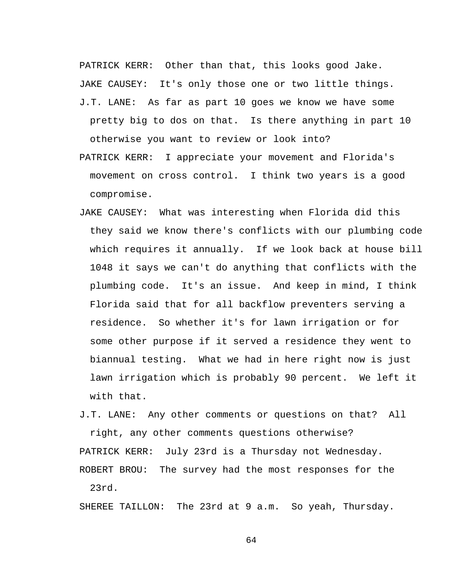PATRICK KERR: Other than that, this looks good Jake. JAKE CAUSEY: It's only those one or two little things. J.T. LANE: As far as part 10 goes we know we have some pretty big to dos on that. Is there anything in part 10 otherwise you want to review or look into?

- PATRICK KERR: I appreciate your movement and Florida's movement on cross control. I think two years is a good compromise.
- JAKE CAUSEY: What was interesting when Florida did this they said we know there's conflicts with our plumbing code which requires it annually. If we look back at house bill 1048 it says we can't do anything that conflicts with the plumbing code. It's an issue. And keep in mind, I think Florida said that for all backflow preventers serving a residence. So whether it's for lawn irrigation or for some other purpose if it served a residence they went to biannual testing. What we had in here right now is just lawn irrigation which is probably 90 percent. We left it with that.

J.T. LANE: Any other comments or questions on that? All right, any other comments questions otherwise? PATRICK KERR: July 23rd is a Thursday not Wednesday. ROBERT BROU: The survey had the most responses for the 23rd.

SHEREE TAILLON: The 23rd at 9 a.m. So yeah, Thursday.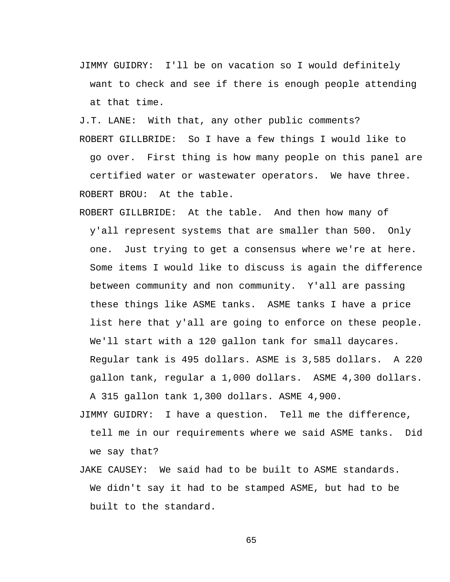JIMMY GUIDRY: I'll be on vacation so I would definitely want to check and see if there is enough people attending at that time.

J.T. LANE: With that, any other public comments?

go over. First thing is how many people on this panel are certified water or wastewater operators. We have three. ROBERT BROU: At the table.

ROBERT GILLBRIDE: So I have a few things I would like to

ROBERT GILLBRIDE: At the table. And then how many of y'all represent systems that are smaller than 500. Only one. Just trying to get a consensus where we're at here. Some items I would like to discuss is again the difference between community and non community. Y'all are passing these things like ASME tanks. ASME tanks I have a price list here that y'all are going to enforce on these people. We'll start with a 120 gallon tank for small daycares. Regular tank is 495 dollars. ASME is 3,585 dollars. A 220 gallon tank, regular a 1,000 dollars. ASME 4,300 dollars. A 315 gallon tank 1,300 dollars. ASME 4,900.

- JIMMY GUIDRY: I have a question. Tell me the difference, tell me in our requirements where we said ASME tanks. Did we say that?
- JAKE CAUSEY: We said had to be built to ASME standards. We didn't say it had to be stamped ASME, but had to be built to the standard.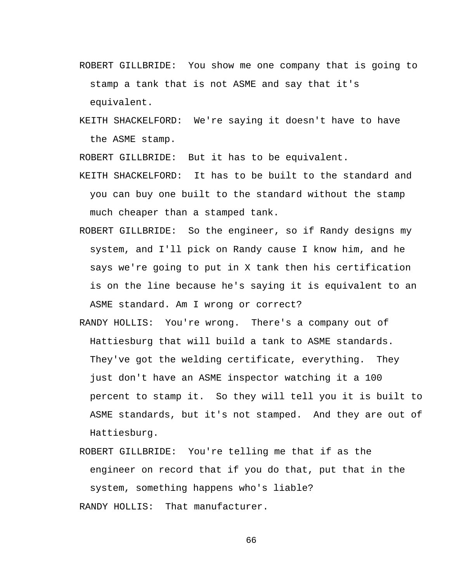- ROBERT GILLBRIDE: You show me one company that is going to stamp a tank that is not ASME and say that it's equivalent.
- KEITH SHACKELFORD: We're saying it doesn't have to have the ASME stamp.

ROBERT GILLBRIDE: But it has to be equivalent.

- KEITH SHACKELFORD: It has to be built to the standard and you can buy one built to the standard without the stamp much cheaper than a stamped tank.
- ROBERT GILLBRIDE: So the engineer, so if Randy designs my system, and I'll pick on Randy cause I know him, and he says we're going to put in X tank then his certification is on the line because he's saying it is equivalent to an ASME standard. Am I wrong or correct?
- RANDY HOLLIS: You're wrong. There's a company out of Hattiesburg that will build a tank to ASME standards. They've got the welding certificate, everything. They just don't have an ASME inspector watching it a 100 percent to stamp it. So they will tell you it is built to ASME standards, but it's not stamped. And they are out of Hattiesburg.
- ROBERT GILLBRIDE: You're telling me that if as the engineer on record that if you do that, put that in the system, something happens who's liable? RANDY HOLLIS: That manufacturer.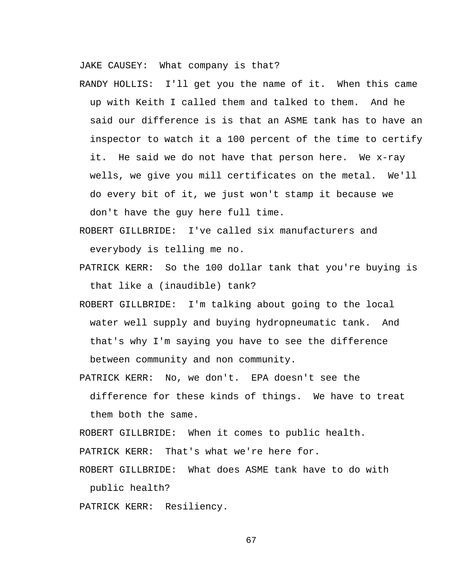JAKE CAUSEY: What company is that?

- RANDY HOLLIS: I'll get you the name of it. When this came up with Keith I called them and talked to them. And he said our difference is is that an ASME tank has to have an inspector to watch it a 100 percent of the time to certify it. He said we do not have that person here. We x-ray wells, we give you mill certificates on the metal. We'll do every bit of it, we just won't stamp it because we don't have the guy here full time.
- ROBERT GILLBRIDE: I've called six manufacturers and everybody is telling me no.
- PATRICK KERR: So the 100 dollar tank that you're buying is that like a (inaudible) tank?
- ROBERT GILLBRIDE: I'm talking about going to the local water well supply and buying hydropneumatic tank. And that's why I'm saying you have to see the difference between community and non community.
- PATRICK KERR: No, we don't. EPA doesn't see the difference for these kinds of things. We have to treat them both the same.

ROBERT GILLBRIDE: When it comes to public health.

PATRICK KERR: That's what we're here for.

ROBERT GILLBRIDE: What does ASME tank have to do with

public health?

PATRICK KERR: Resiliency.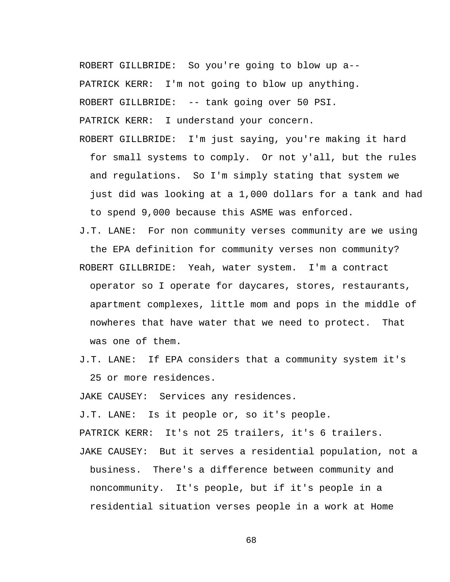ROBERT GILLBRIDE: So you're going to blow up a-- PATRICK KERR: I'm not going to blow up anything. ROBERT GILLBRIDE: -- tank going over 50 PSI. PATRICK KERR: I understand your concern.

- ROBERT GILLBRIDE: I'm just saying, you're making it hard for small systems to comply. Or not y'all, but the rules and regulations. So I'm simply stating that system we just did was looking at a 1,000 dollars for a tank and had to spend 9,000 because this ASME was enforced.
- J.T. LANE: For non community verses community are we using the EPA definition for community verses non community?
- ROBERT GILLBRIDE: Yeah, water system. I'm a contract operator so I operate for daycares, stores, restaurants, apartment complexes, little mom and pops in the middle of nowheres that have water that we need to protect. That was one of them.
- J.T. LANE: If EPA considers that a community system it's 25 or more residences.

JAKE CAUSEY: Services any residences.

J.T. LANE: Is it people or, so it's people.

PATRICK KERR: It's not 25 trailers, it's 6 trailers.

JAKE CAUSEY: But it serves a residential population, not a business. There's a difference between community and noncommunity. It's people, but if it's people in a residential situation verses people in a work at Home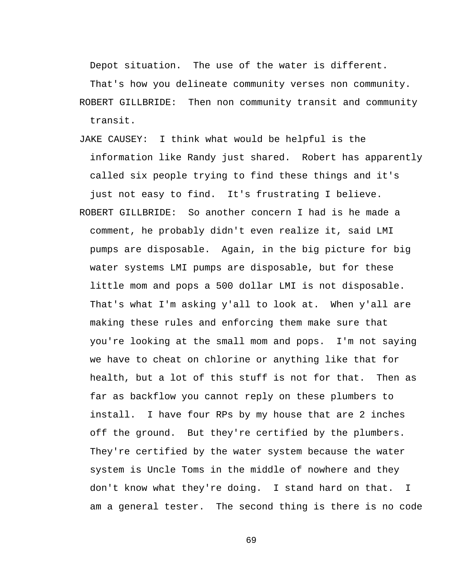Depot situation. The use of the water is different.

That's how you delineate community verses non community. ROBERT GILLBRIDE: Then non community transit and community transit.

JAKE CAUSEY: I think what would be helpful is the information like Randy just shared. Robert has apparently called six people trying to find these things and it's

just not easy to find. It's frustrating I believe.

ROBERT GILLBRIDE: So another concern I had is he made a comment, he probably didn't even realize it, said LMI pumps are disposable. Again, in the big picture for big water systems LMI pumps are disposable, but for these little mom and pops a 500 dollar LMI is not disposable. That's what I'm asking y'all to look at. When y'all are making these rules and enforcing them make sure that you're looking at the small mom and pops. I'm not saying we have to cheat on chlorine or anything like that for health, but a lot of this stuff is not for that. Then as far as backflow you cannot reply on these plumbers to install. I have four RPs by my house that are 2 inches off the ground. But they're certified by the plumbers. They're certified by the water system because the water system is Uncle Toms in the middle of nowhere and they don't know what they're doing. I stand hard on that. I am a general tester. The second thing is there is no code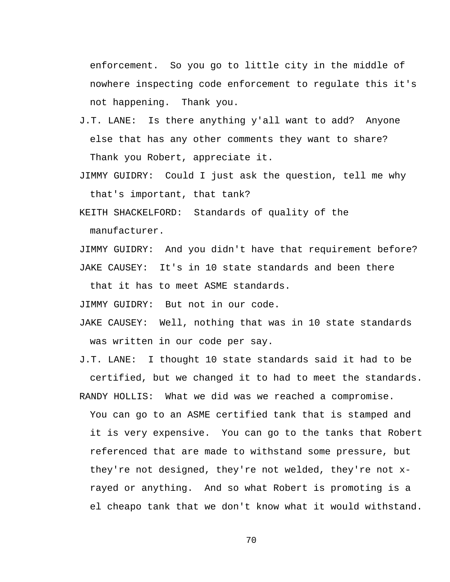enforcement. So you go to little city in the middle of nowhere inspecting code enforcement to regulate this it's not happening. Thank you.

- J.T. LANE: Is there anything y'all want to add? Anyone else that has any other comments they want to share? Thank you Robert, appreciate it.
- JIMMY GUIDRY: Could I just ask the question, tell me why that's important, that tank?

KEITH SHACKELFORD: Standards of quality of the

manufacturer.

JIMMY GUIDRY: And you didn't have that requirement before? JAKE CAUSEY: It's in 10 state standards and been there

that it has to meet ASME standards.

JIMMY GUIDRY: But not in our code.

JAKE CAUSEY: Well, nothing that was in 10 state standards was written in our code per say.

J.T. LANE: I thought 10 state standards said it had to be certified, but we changed it to had to meet the standards.

RANDY HOLLIS: What we did was we reached a compromise.

You can go to an ASME certified tank that is stamped and it is very expensive. You can go to the tanks that Robert referenced that are made to withstand some pressure, but they're not designed, they're not welded, they're not xrayed or anything. And so what Robert is promoting is a el cheapo tank that we don't know what it would withstand.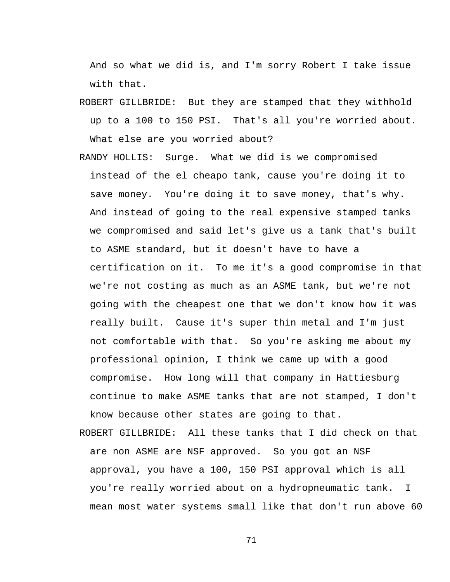And so what we did is, and I'm sorry Robert I take issue with that.

- ROBERT GILLBRIDE: But they are stamped that they withhold up to a 100 to 150 PSI. That's all you're worried about. What else are you worried about?
- RANDY HOLLIS: Surge. What we did is we compromised instead of the el cheapo tank, cause you're doing it to save money. You're doing it to save money, that's why. And instead of going to the real expensive stamped tanks we compromised and said let's give us a tank that's built to ASME standard, but it doesn't have to have a certification on it. To me it's a good compromise in that we're not costing as much as an ASME tank, but we're not going with the cheapest one that we don't know how it was really built. Cause it's super thin metal and I'm just not comfortable with that. So you're asking me about my professional opinion, I think we came up with a good compromise. How long will that company in Hattiesburg continue to make ASME tanks that are not stamped, I don't know because other states are going to that.
- ROBERT GILLBRIDE: All these tanks that I did check on that are non ASME are NSF approved. So you got an NSF approval, you have a 100, 150 PSI approval which is all you're really worried about on a hydropneumatic tank. I mean most water systems small like that don't run above 60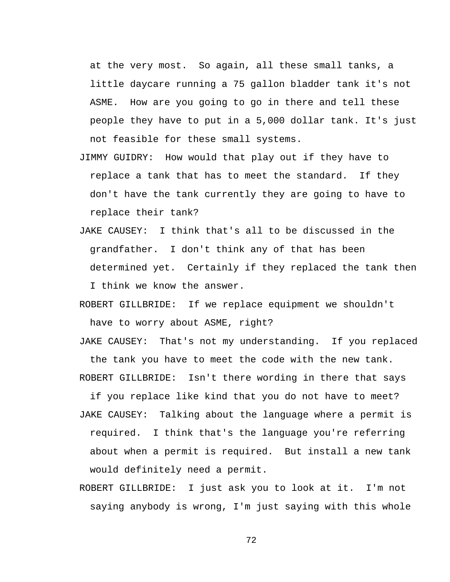at the very most. So again, all these small tanks, a little daycare running a 75 gallon bladder tank it's not ASME. How are you going to go in there and tell these people they have to put in a 5,000 dollar tank. It's just not feasible for these small systems.

- JIMMY GUIDRY: How would that play out if they have to replace a tank that has to meet the standard. If they don't have the tank currently they are going to have to replace their tank?
- JAKE CAUSEY: I think that's all to be discussed in the grandfather. I don't think any of that has been determined yet. Certainly if they replaced the tank then I think we know the answer.
- ROBERT GILLBRIDE: If we replace equipment we shouldn't have to worry about ASME, right?
- JAKE CAUSEY: That's not my understanding. If you replaced the tank you have to meet the code with the new tank. ROBERT GILLBRIDE: Isn't there wording in there that says
- if you replace like kind that you do not have to meet? JAKE CAUSEY: Talking about the language where a permit is required. I think that's the language you're referring about when a permit is required. But install a new tank would definitely need a permit.
- ROBERT GILLBRIDE: I just ask you to look at it. I'm not saying anybody is wrong, I'm just saying with this whole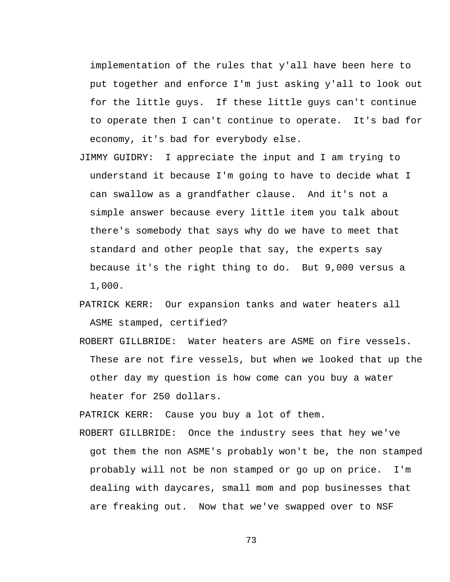implementation of the rules that y'all have been here to put together and enforce I'm just asking y'all to look out for the little guys. If these little guys can't continue to operate then I can't continue to operate. It's bad for economy, it's bad for everybody else.

- JIMMY GUIDRY: I appreciate the input and I am trying to understand it because I'm going to have to decide what I can swallow as a grandfather clause. And it's not a simple answer because every little item you talk about there's somebody that says why do we have to meet that standard and other people that say, the experts say because it's the right thing to do. But 9,000 versus a 1,000.
- PATRICK KERR: Our expansion tanks and water heaters all ASME stamped, certified?
- ROBERT GILLBRIDE: Water heaters are ASME on fire vessels. These are not fire vessels, but when we looked that up the other day my question is how come can you buy a water heater for 250 dollars.

PATRICK KERR: Cause you buy a lot of them.

ROBERT GILLBRIDE: Once the industry sees that hey we've got them the non ASME's probably won't be, the non stamped probably will not be non stamped or go up on price. I'm dealing with daycares, small mom and pop businesses that are freaking out. Now that we've swapped over to NSF

73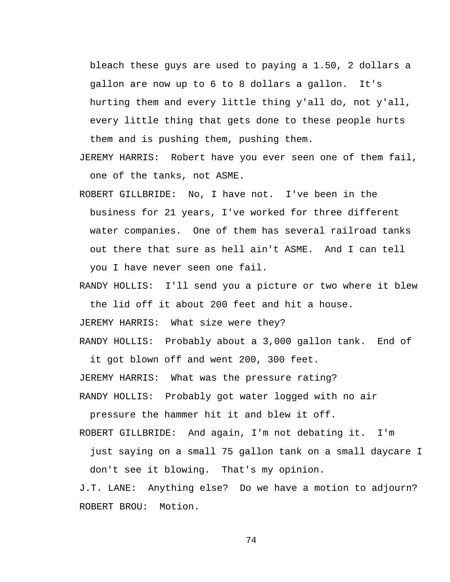bleach these guys are used to paying a 1.50, 2 dollars a gallon are now up to 6 to 8 dollars a gallon. It's hurting them and every little thing y'all do, not y'all, every little thing that gets done to these people hurts them and is pushing them, pushing them.

- JEREMY HARRIS: Robert have you ever seen one of them fail, one of the tanks, not ASME.
- ROBERT GILLBRIDE: No, I have not. I've been in the business for 21 years, I've worked for three different water companies. One of them has several railroad tanks out there that sure as hell ain't ASME. And I can tell you I have never seen one fail.

RANDY HOLLIS: I'll send you a picture or two where it blew the lid off it about 200 feet and hit a house.

JEREMY HARRIS: What size were they?

RANDY HOLLIS: Probably about a 3,000 gallon tank. End of

it got blown off and went 200, 300 feet.

JEREMY HARRIS: What was the pressure rating?

RANDY HOLLIS: Probably got water logged with no air

pressure the hammer hit it and blew it off.

ROBERT GILLBRIDE: And again, I'm not debating it. I'm

just saying on a small 75 gallon tank on a small daycare I don't see it blowing. That's my opinion.

J.T. LANE: Anything else? Do we have a motion to adjourn? ROBERT BROU: Motion.

74